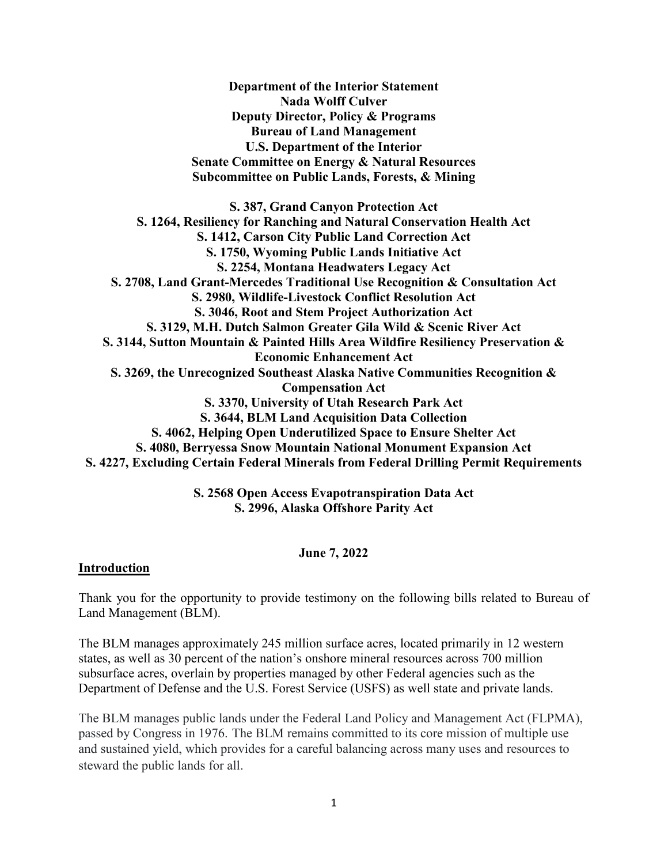**Department of the Interior Statement Nada Wolff Culver Deputy Director, Policy & Programs Bureau of Land Management U.S. Department of the Interior Senate Committee on Energy & Natural Resources Subcommittee on Public Lands, Forests, & Mining**

**S. 387, Grand Canyon Protection Act S. 1264, Resiliency for Ranching and Natural Conservation Health Act S. 1412, Carson City Public Land Correction Act S. 1750, Wyoming Public Lands Initiative Act S. 2254, Montana Headwaters Legacy Act S. 2708, Land Grant-Mercedes Traditional Use Recognition & Consultation Act S. 2980, Wildlife-Livestock Conflict Resolution Act S. 3046, Root and Stem Project Authorization Act S. 3129, M.H. Dutch Salmon Greater Gila Wild & Scenic River Act S. 3144, Sutton Mountain & Painted Hills Area Wildfire Resiliency Preservation & Economic Enhancement Act S. 3269, the Unrecognized Southeast Alaska Native Communities Recognition & Compensation Act S. 3370, University of Utah Research Park Act S. 3644, BLM Land Acquisition Data Collection S. 4062, Helping Open Underutilized Space to Ensure Shelter Act S. 4080, Berryessa Snow Mountain National Monument Expansion Act S. 4227, Excluding Certain Federal Minerals from Federal Drilling Permit Requirements**

> **S. 2568 Open Access Evapotranspiration Data Act S. 2996, Alaska Offshore Parity Act**

#### **June 7, 2022**

#### **Introduction**

Thank you for the opportunity to provide testimony on the following bills related to Bureau of Land Management (BLM).

The BLM manages approximately 245 million surface acres, located primarily in 12 western states, as well as 30 percent of the nation's onshore mineral resources across 700 million subsurface acres, overlain by properties managed by other Federal agencies such as the Department of Defense and the U.S. Forest Service (USFS) as well state and private lands.

The BLM manages public lands under the Federal Land Policy and Management Act (FLPMA), passed by Congress in 1976. The BLM remains committed to its core mission of multiple use and sustained yield, which provides for a careful balancing across many uses and resources to steward the public lands for all.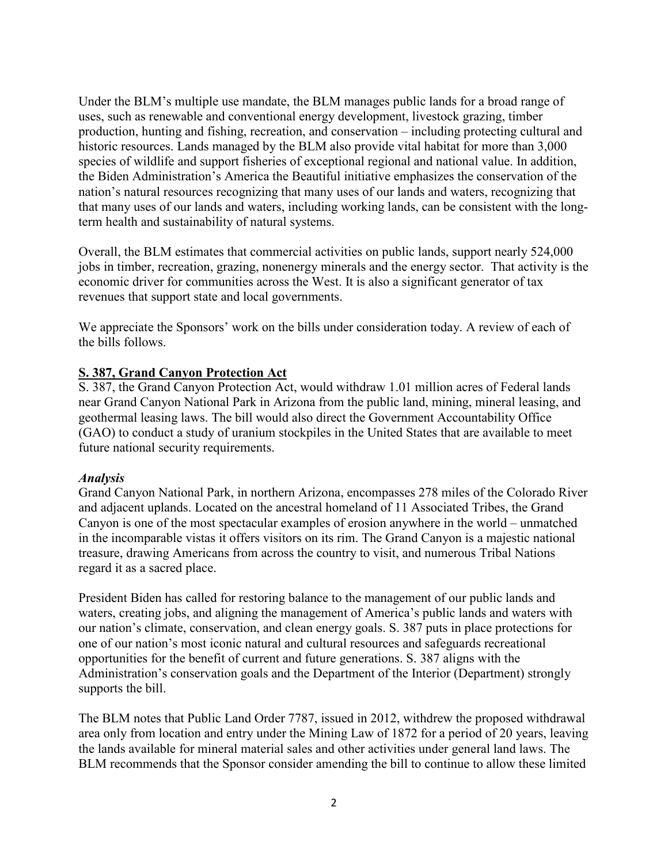Under the BLM's multiple use mandate, the BLM manages public lands for a broad range of uses, such as renewable and conventional energy development, livestock grazing, timber production, hunting and fishing, recreation, and conservation – including protecting cultural and historic resources. Lands managed by the BLM also provide vital habitat for more than 3,000 species of wildlife and support fisheries of exceptional regional and national value. In addition, the Biden Administration's America the Beautiful initiative emphasizes the conservation of the nation's natural resources recognizing that many uses of our lands and waters, recognizing that that many uses of our lands and waters, including working lands, can be consistent with the longterm health and sustainability of natural systems.

Overall, the BLM estimates that commercial activities on public lands, support nearly 524,000 jobs in timber, recreation, grazing, nonenergy minerals and the energy sector. That activity is the economic driver for communities across the West. It is also a significant generator of tax revenues that support state and local governments.

We appreciate the Sponsors' work on the bills under consideration today. A review of each of the bills follows.

## **S. 387, Grand Canyon Protection Act**

S. 387, the Grand Canyon Protection Act, would withdraw 1.01 million acres of Federal lands near Grand Canyon National Park in Arizona from the public land, mining, mineral leasing, and geothermal leasing laws. The bill would also direct the Government Accountability Office (GAO) to conduct a study of uranium stockpiles in the United States that are available to meet future national security requirements.

#### *Analysis*

Grand Canyon National Park, in northern Arizona, encompasses 278 miles of the Colorado River and adjacent uplands. Located on the ancestral homeland of 11 Associated Tribes, the Grand Canyon is one of the most spectacular examples of erosion anywhere in the world – unmatched in the incomparable vistas it offers visitors on its rim. The Grand Canyon is a majestic national treasure, drawing Americans from across the country to visit, and numerous Tribal Nations regard it as a sacred place.

President Biden has called for restoring balance to the management of our public lands and waters, creating jobs, and aligning the management of America's public lands and waters with our nation's climate, conservation, and clean energy goals. S. 387 puts in place protections for one of our nation's most iconic natural and cultural resources and safeguards recreational opportunities for the benefit of current and future generations. S. 387 aligns with the Administration's conservation goals and the Department of the Interior (Department) strongly supports the bill.

The BLM notes that Public Land Order 7787, issued in 2012, withdrew the proposed withdrawal area only from location and entry under the Mining Law of 1872 for a period of 20 years, leaving the lands available for mineral material sales and other activities under general land laws. The BLM recommends that the Sponsor consider amending the bill to continue to allow these limited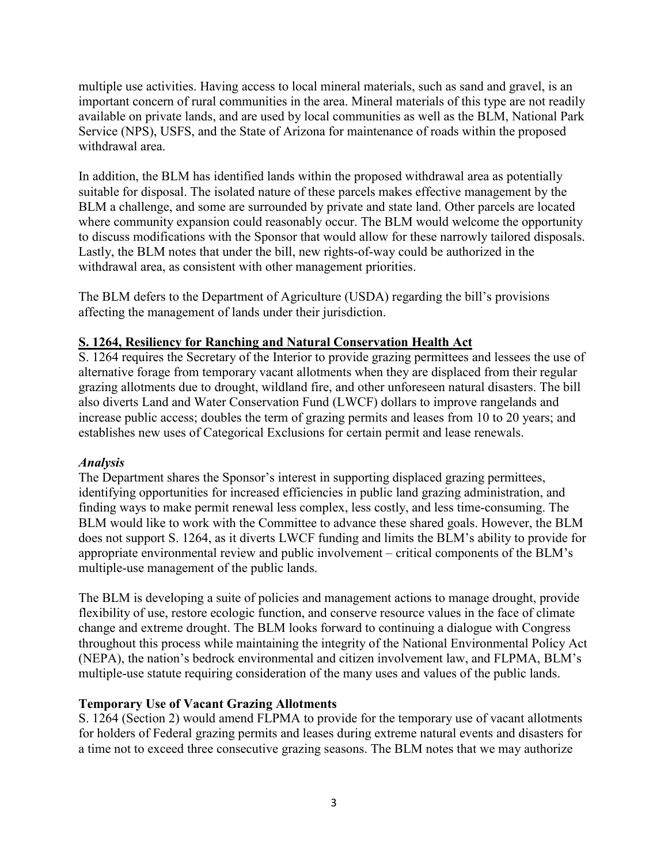multiple use activities. Having access to local mineral materials, such as sand and gravel, is an important concern of rural communities in the area. Mineral materials of this type are not readily available on private lands, and are used by local communities as well as the BLM, National Park Service (NPS), USFS, and the State of Arizona for maintenance of roads within the proposed withdrawal area.

In addition, the BLM has identified lands within the proposed withdrawal area as potentially suitable for disposal. The isolated nature of these parcels makes effective management by the BLM a challenge, and some are surrounded by private and state land. Other parcels are located where community expansion could reasonably occur. The BLM would welcome the opportunity to discuss modifications with the Sponsor that would allow for these narrowly tailored disposals. Lastly, the BLM notes that under the bill, new rights-of-way could be authorized in the withdrawal area, as consistent with other management priorities.

The BLM defers to the Department of Agriculture (USDA) regarding the bill's provisions affecting the management of lands under their jurisdiction.

## **S. 1264, Resiliency for Ranching and Natural Conservation Health Act**

S. 1264 requires the Secretary of the Interior to provide grazing permittees and lessees the use of alternative forage from temporary vacant allotments when they are displaced from their regular grazing allotments due to drought, wildland fire, and other unforeseen natural disasters. The bill also diverts Land and Water Conservation Fund (LWCF) dollars to improve rangelands and increase public access; doubles the term of grazing permits and leases from 10 to 20 years; and establishes new uses of Categorical Exclusions for certain permit and lease renewals.

## *Analysis*

The Department shares the Sponsor's interest in supporting displaced grazing permittees, identifying opportunities for increased efficiencies in public land grazing administration, and finding ways to make permit renewal less complex, less costly, and less time-consuming. The BLM would like to work with the Committee to advance these shared goals. However, the BLM does not support S. 1264, as it diverts LWCF funding and limits the BLM's ability to provide for appropriate environmental review and public involvement – critical components of the BLM's multiple-use management of the public lands.

The BLM is developing a suite of policies and management actions to manage drought, provide flexibility of use, restore ecologic function, and conserve resource values in the face of climate change and extreme drought. The BLM looks forward to continuing a dialogue with Congress throughout this process while maintaining the integrity of the National Environmental Policy Act (NEPA), the nation's bedrock environmental and citizen involvement law, and FLPMA, BLM's multiple-use statute requiring consideration of the many uses and values of the public lands.

## **Temporary Use of Vacant Grazing Allotments**

S. 1264 (Section 2) would amend FLPMA to provide for the temporary use of vacant allotments for holders of Federal grazing permits and leases during extreme natural events and disasters for a time not to exceed three consecutive grazing seasons. The BLM notes that we may authorize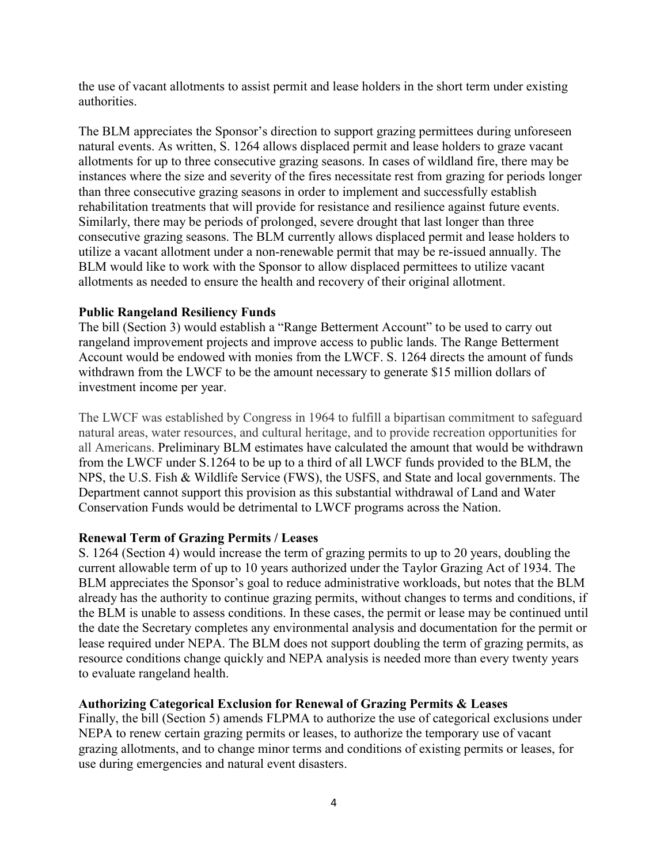the use of vacant allotments to assist permit and lease holders in the short term under existing authorities.

The BLM appreciates the Sponsor's direction to support grazing permittees during unforeseen natural events. As written, S. 1264 allows displaced permit and lease holders to graze vacant allotments for up to three consecutive grazing seasons. In cases of wildland fire, there may be instances where the size and severity of the fires necessitate rest from grazing for periods longer than three consecutive grazing seasons in order to implement and successfully establish rehabilitation treatments that will provide for resistance and resilience against future events. Similarly, there may be periods of prolonged, severe drought that last longer than three consecutive grazing seasons. The BLM currently allows displaced permit and lease holders to utilize a vacant allotment under a non-renewable permit that may be re-issued annually. The BLM would like to work with the Sponsor to allow displaced permittees to utilize vacant allotments as needed to ensure the health and recovery of their original allotment.

#### **Public Rangeland Resiliency Funds**

The bill (Section 3) would establish a "Range Betterment Account" to be used to carry out rangeland improvement projects and improve access to public lands. The Range Betterment Account would be endowed with monies from the LWCF. S. 1264 directs the amount of funds withdrawn from the LWCF to be the amount necessary to generate \$15 million dollars of investment income per year.

The LWCF was established by Congress in 1964 to fulfill a bipartisan commitment to safeguard natural areas, water resources, and cultural heritage, and to provide recreation opportunities for all Americans. Preliminary BLM estimates have calculated the amount that would be withdrawn from the LWCF under S.1264 to be up to a third of all LWCF funds provided to the BLM, the NPS, the U.S. Fish & Wildlife Service (FWS), the USFS, and State and local governments. The Department cannot support this provision as this substantial withdrawal of Land and Water Conservation Funds would be detrimental to LWCF programs across the Nation.

#### **Renewal Term of Grazing Permits / Leases**

S. 1264 (Section 4) would increase the term of grazing permits to up to 20 years, doubling the current allowable term of up to 10 years authorized under the Taylor Grazing Act of 1934. The BLM appreciates the Sponsor's goal to reduce administrative workloads, but notes that the BLM already has the authority to continue grazing permits, without changes to terms and conditions, if the BLM is unable to assess conditions. In these cases, the permit or lease may be continued until the date the Secretary completes any environmental analysis and documentation for the permit or lease required under NEPA. The BLM does not support doubling the term of grazing permits, as resource conditions change quickly and NEPA analysis is needed more than every twenty years to evaluate rangeland health.

#### **Authorizing Categorical Exclusion for Renewal of Grazing Permits & Leases**

Finally, the bill (Section 5) amends FLPMA to authorize the use of categorical exclusions under NEPA to renew certain grazing permits or leases, to authorize the temporary use of vacant grazing allotments, and to change minor terms and conditions of existing permits or leases, for use during emergencies and natural event disasters.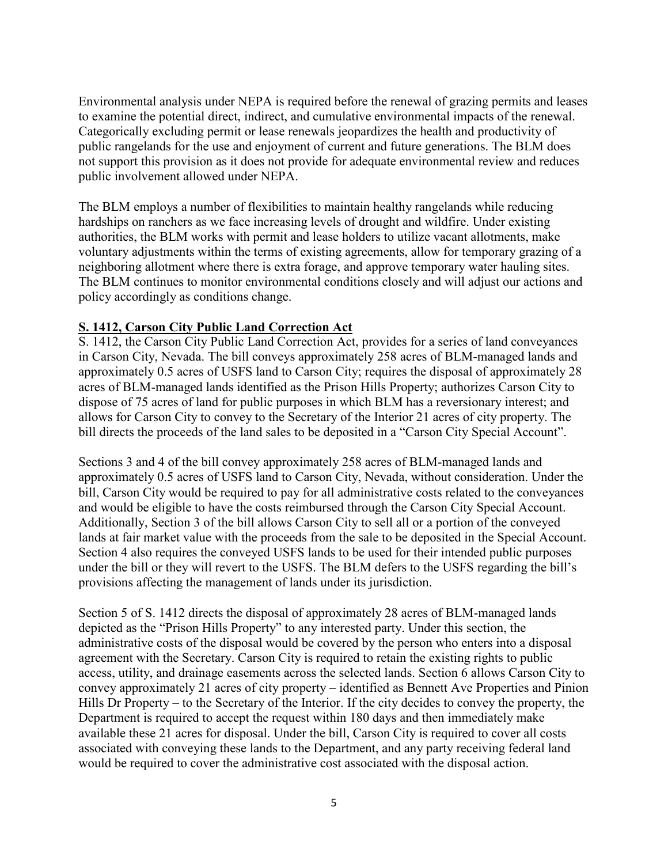Environmental analysis under NEPA is required before the renewal of grazing permits and leases to examine the potential direct, indirect, and cumulative environmental impacts of the renewal. Categorically excluding permit or lease renewals jeopardizes the health and productivity of public rangelands for the use and enjoyment of current and future generations. The BLM does not support this provision as it does not provide for adequate environmental review and reduces public involvement allowed under NEPA.

The BLM employs a number of flexibilities to maintain healthy rangelands while reducing hardships on ranchers as we face increasing levels of drought and wildfire. Under existing authorities, the BLM works with permit and lease holders to utilize vacant allotments, make voluntary adjustments within the terms of existing agreements, allow for temporary grazing of a neighboring allotment where there is extra forage, and approve temporary water hauling sites. The BLM continues to monitor environmental conditions closely and will adjust our actions and policy accordingly as conditions change.

## **S. 1412, Carson City Public Land Correction Act**

S. 1412, the Carson City Public Land Correction Act, provides for a series of land conveyances in Carson City, Nevada. The bill conveys approximately 258 acres of BLM-managed lands and approximately 0.5 acres of USFS land to Carson City; requires the disposal of approximately 28 acres of BLM-managed lands identified as the Prison Hills Property; authorizes Carson City to dispose of 75 acres of land for public purposes in which BLM has a reversionary interest; and allows for Carson City to convey to the Secretary of the Interior 21 acres of city property. The bill directs the proceeds of the land sales to be deposited in a "Carson City Special Account".

Sections 3 and 4 of the bill convey approximately 258 acres of BLM-managed lands and approximately 0.5 acres of USFS land to Carson City, Nevada, without consideration. Under the bill, Carson City would be required to pay for all administrative costs related to the conveyances and would be eligible to have the costs reimbursed through the Carson City Special Account. Additionally, Section 3 of the bill allows Carson City to sell all or a portion of the conveyed lands at fair market value with the proceeds from the sale to be deposited in the Special Account. Section 4 also requires the conveyed USFS lands to be used for their intended public purposes under the bill or they will revert to the USFS. The BLM defers to the USFS regarding the bill's provisions affecting the management of lands under its jurisdiction.

Section 5 of S. 1412 directs the disposal of approximately 28 acres of BLM-managed lands depicted as the "Prison Hills Property" to any interested party. Under this section, the administrative costs of the disposal would be covered by the person who enters into a disposal agreement with the Secretary. Carson City is required to retain the existing rights to public access, utility, and drainage easements across the selected lands. Section 6 allows Carson City to convey approximately 21 acres of city property – identified as Bennett Ave Properties and Pinion Hills Dr Property – to the Secretary of the Interior. If the city decides to convey the property, the Department is required to accept the request within 180 days and then immediately make available these 21 acres for disposal. Under the bill, Carson City is required to cover all costs associated with conveying these lands to the Department, and any party receiving federal land would be required to cover the administrative cost associated with the disposal action.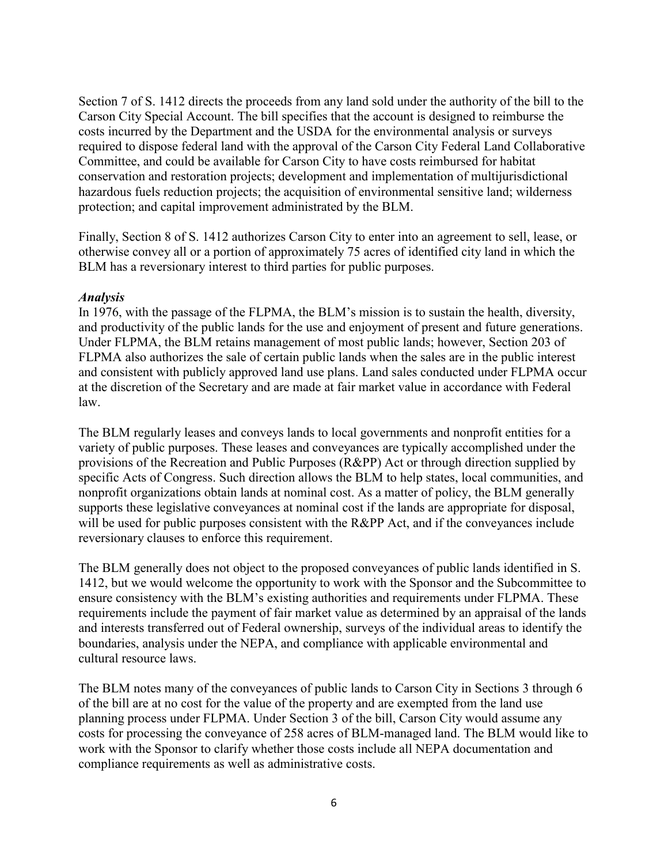Section 7 of S. 1412 directs the proceeds from any land sold under the authority of the bill to the Carson City Special Account. The bill specifies that the account is designed to reimburse the costs incurred by the Department and the USDA for the environmental analysis or surveys required to dispose federal land with the approval of the Carson City Federal Land Collaborative Committee, and could be available for Carson City to have costs reimbursed for habitat conservation and restoration projects; development and implementation of multijurisdictional hazardous fuels reduction projects; the acquisition of environmental sensitive land; wilderness protection; and capital improvement administrated by the BLM.

Finally, Section 8 of S. 1412 authorizes Carson City to enter into an agreement to sell, lease, or otherwise convey all or a portion of approximately 75 acres of identified city land in which the BLM has a reversionary interest to third parties for public purposes.

#### *Analysis*

In 1976, with the passage of the FLPMA, the BLM's mission is to sustain the health, diversity, and productivity of the public lands for the use and enjoyment of present and future generations. Under FLPMA, the BLM retains management of most public lands; however, Section 203 of FLPMA also authorizes the sale of certain public lands when the sales are in the public interest and consistent with publicly approved land use plans. Land sales conducted under FLPMA occur at the discretion of the Secretary and are made at fair market value in accordance with Federal law.

The BLM regularly leases and conveys lands to local governments and nonprofit entities for a variety of public purposes. These leases and conveyances are typically accomplished under the provisions of the Recreation and Public Purposes (R&PP) Act or through direction supplied by specific Acts of Congress. Such direction allows the BLM to help states, local communities, and nonprofit organizations obtain lands at nominal cost. As a matter of policy, the BLM generally supports these legislative conveyances at nominal cost if the lands are appropriate for disposal, will be used for public purposes consistent with the R&PP Act, and if the conveyances include reversionary clauses to enforce this requirement.

The BLM generally does not object to the proposed conveyances of public lands identified in S. 1412, but we would welcome the opportunity to work with the Sponsor and the Subcommittee to ensure consistency with the BLM's existing authorities and requirements under FLPMA. These requirements include the payment of fair market value as determined by an appraisal of the lands and interests transferred out of Federal ownership, surveys of the individual areas to identify the boundaries, analysis under the NEPA, and compliance with applicable environmental and cultural resource laws.

The BLM notes many of the conveyances of public lands to Carson City in Sections 3 through 6 of the bill are at no cost for the value of the property and are exempted from the land use planning process under FLPMA. Under Section 3 of the bill, Carson City would assume any costs for processing the conveyance of 258 acres of BLM-managed land. The BLM would like to work with the Sponsor to clarify whether those costs include all NEPA documentation and compliance requirements as well as administrative costs.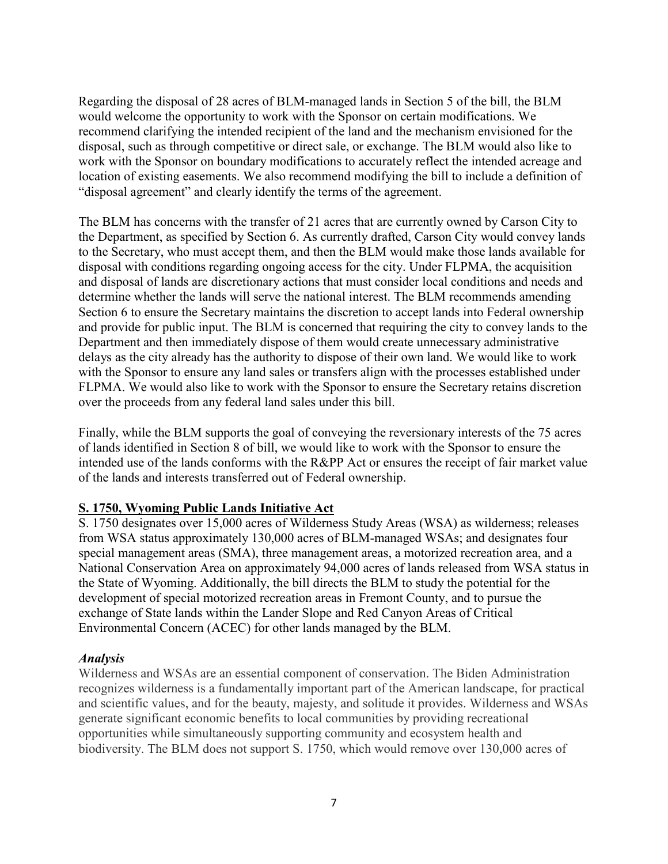Regarding the disposal of 28 acres of BLM-managed lands in Section 5 of the bill, the BLM would welcome the opportunity to work with the Sponsor on certain modifications. We recommend clarifying the intended recipient of the land and the mechanism envisioned for the disposal, such as through competitive or direct sale, or exchange. The BLM would also like to work with the Sponsor on boundary modifications to accurately reflect the intended acreage and location of existing easements. We also recommend modifying the bill to include a definition of "disposal agreement" and clearly identify the terms of the agreement.

The BLM has concerns with the transfer of 21 acres that are currently owned by Carson City to the Department, as specified by Section 6. As currently drafted, Carson City would convey lands to the Secretary, who must accept them, and then the BLM would make those lands available for disposal with conditions regarding ongoing access for the city. Under FLPMA, the acquisition and disposal of lands are discretionary actions that must consider local conditions and needs and determine whether the lands will serve the national interest. The BLM recommends amending Section 6 to ensure the Secretary maintains the discretion to accept lands into Federal ownership and provide for public input. The BLM is concerned that requiring the city to convey lands to the Department and then immediately dispose of them would create unnecessary administrative delays as the city already has the authority to dispose of their own land. We would like to work with the Sponsor to ensure any land sales or transfers align with the processes established under FLPMA. We would also like to work with the Sponsor to ensure the Secretary retains discretion over the proceeds from any federal land sales under this bill.

Finally, while the BLM supports the goal of conveying the reversionary interests of the 75 acres of lands identified in Section 8 of bill, we would like to work with the Sponsor to ensure the intended use of the lands conforms with the R&PP Act or ensures the receipt of fair market value of the lands and interests transferred out of Federal ownership.

## **S. 1750, Wyoming Public Lands Initiative Act**

S. 1750 designates over 15,000 acres of Wilderness Study Areas (WSA) as wilderness; releases from WSA status approximately 130,000 acres of BLM-managed WSAs; and designates four special management areas (SMA), three management areas, a motorized recreation area, and a National Conservation Area on approximately 94,000 acres of lands released from WSA status in the State of Wyoming. Additionally, the bill directs the BLM to study the potential for the development of special motorized recreation areas in Fremont County, and to pursue the exchange of State lands within the Lander Slope and Red Canyon Areas of Critical Environmental Concern (ACEC) for other lands managed by the BLM.

#### *Analysis*

Wilderness and WSAs are an essential component of conservation. The Biden Administration recognizes wilderness is a fundamentally important part of the American landscape, for practical and scientific values, and for the beauty, majesty, and solitude it provides. Wilderness and WSAs generate significant economic benefits to local communities by providing recreational opportunities while simultaneously supporting community and ecosystem health and biodiversity. The BLM does not support S. 1750, which would remove over 130,000 acres of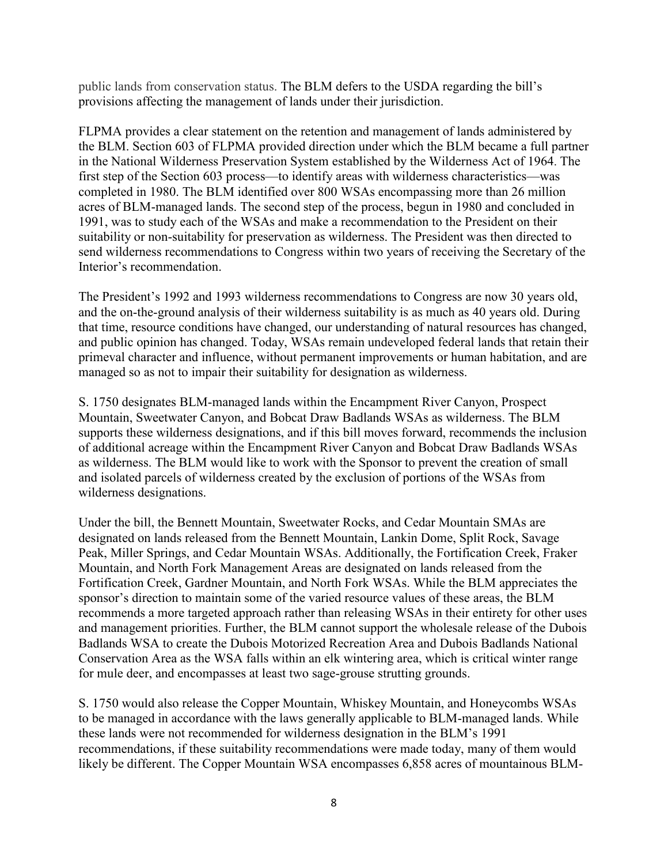public lands from conservation status. The BLM defers to the USDA regarding the bill's provisions affecting the management of lands under their jurisdiction.

FLPMA provides a clear statement on the retention and management of lands administered by the BLM. Section 603 of FLPMA provided direction under which the BLM became a full partner in the National Wilderness Preservation System established by the Wilderness Act of 1964. The first step of the Section 603 process—to identify areas with wilderness characteristics—was completed in 1980. The BLM identified over 800 WSAs encompassing more than 26 million acres of BLM-managed lands. The second step of the process, begun in 1980 and concluded in 1991, was to study each of the WSAs and make a recommendation to the President on their suitability or non-suitability for preservation as wilderness. The President was then directed to send wilderness recommendations to Congress within two years of receiving the Secretary of the Interior's recommendation.

The President's 1992 and 1993 wilderness recommendations to Congress are now 30 years old, and the on-the-ground analysis of their wilderness suitability is as much as 40 years old. During that time, resource conditions have changed, our understanding of natural resources has changed, and public opinion has changed. Today, WSAs remain undeveloped federal lands that retain their primeval character and influence, without permanent improvements or human habitation, and are managed so as not to impair their suitability for designation as wilderness.

S. 1750 designates BLM-managed lands within the Encampment River Canyon, Prospect Mountain, Sweetwater Canyon, and Bobcat Draw Badlands WSAs as wilderness. The BLM supports these wilderness designations, and if this bill moves forward, recommends the inclusion of additional acreage within the Encampment River Canyon and Bobcat Draw Badlands WSAs as wilderness. The BLM would like to work with the Sponsor to prevent the creation of small and isolated parcels of wilderness created by the exclusion of portions of the WSAs from wilderness designations.

Under the bill, the Bennett Mountain, Sweetwater Rocks, and Cedar Mountain SMAs are designated on lands released from the Bennett Mountain, Lankin Dome, Split Rock, Savage Peak, Miller Springs, and Cedar Mountain WSAs. Additionally, the Fortification Creek, Fraker Mountain, and North Fork Management Areas are designated on lands released from the Fortification Creek, Gardner Mountain, and North Fork WSAs. While the BLM appreciates the sponsor's direction to maintain some of the varied resource values of these areas, the BLM recommends a more targeted approach rather than releasing WSAs in their entirety for other uses and management priorities. Further, the BLM cannot support the wholesale release of the Dubois Badlands WSA to create the Dubois Motorized Recreation Area and Dubois Badlands National Conservation Area as the WSA falls within an elk wintering area, which is critical winter range for mule deer, and encompasses at least two sage-grouse strutting grounds.

S. 1750 would also release the Copper Mountain, Whiskey Mountain, and Honeycombs WSAs to be managed in accordance with the laws generally applicable to BLM-managed lands. While these lands were not recommended for wilderness designation in the BLM's 1991 recommendations, if these suitability recommendations were made today, many of them would likely be different. The Copper Mountain WSA encompasses 6,858 acres of mountainous BLM-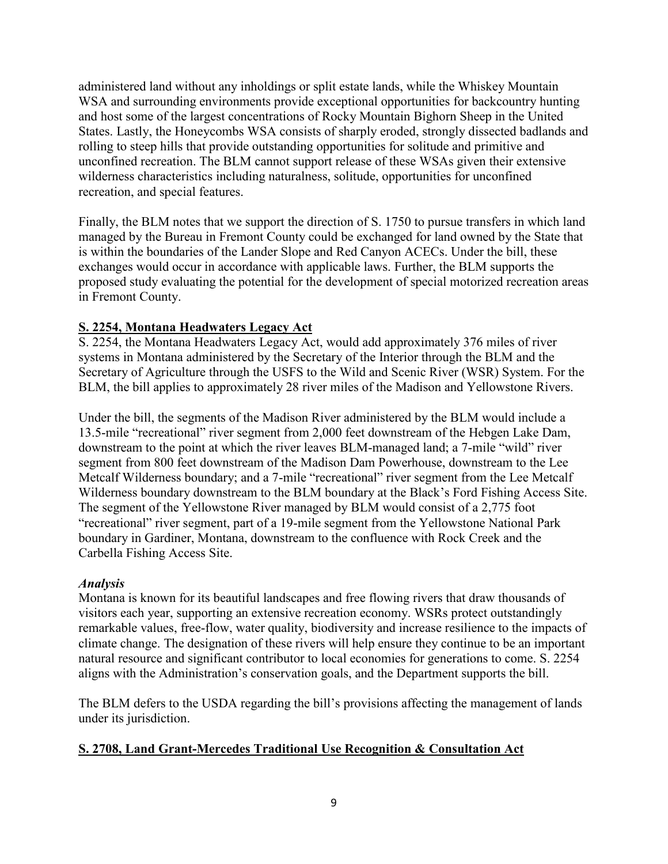administered land without any inholdings or split estate lands, while the Whiskey Mountain WSA and surrounding environments provide exceptional opportunities for backcountry hunting and host some of the largest concentrations of Rocky Mountain Bighorn Sheep in the United States. Lastly, the Honeycombs WSA consists of sharply eroded, strongly dissected badlands and rolling to steep hills that provide outstanding opportunities for solitude and primitive and unconfined recreation. The BLM cannot support release of these WSAs given their extensive wilderness characteristics including naturalness, solitude, opportunities for unconfined recreation, and special features.

Finally, the BLM notes that we support the direction of S. 1750 to pursue transfers in which land managed by the Bureau in Fremont County could be exchanged for land owned by the State that is within the boundaries of the Lander Slope and Red Canyon ACECs. Under the bill, these exchanges would occur in accordance with applicable laws. Further, the BLM supports the proposed study evaluating the potential for the development of special motorized recreation areas in Fremont County.

# **S. 2254, Montana Headwaters Legacy Act**

S. 2254, the Montana Headwaters Legacy Act, would add approximately 376 miles of river systems in Montana administered by the Secretary of the Interior through the BLM and the Secretary of Agriculture through the USFS to the Wild and Scenic River (WSR) System. For the BLM, the bill applies to approximately 28 river miles of the Madison and Yellowstone Rivers.

Under the bill, the segments of the Madison River administered by the BLM would include a 13.5-mile "recreational" river segment from 2,000 feet downstream of the Hebgen Lake Dam, downstream to the point at which the river leaves BLM-managed land; a 7-mile "wild" river segment from 800 feet downstream of the Madison Dam Powerhouse, downstream to the Lee Metcalf Wilderness boundary; and a 7-mile "recreational" river segment from the Lee Metcalf Wilderness boundary downstream to the BLM boundary at the Black's Ford Fishing Access Site. The segment of the Yellowstone River managed by BLM would consist of a 2,775 foot "recreational" river segment, part of a 19-mile segment from the Yellowstone National Park boundary in Gardiner, Montana, downstream to the confluence with Rock Creek and the Carbella Fishing Access Site.

## *Analysis*

Montana is known for its beautiful landscapes and free flowing rivers that draw thousands of visitors each year, supporting an extensive recreation economy. WSRs protect outstandingly remarkable values, free-flow, water quality, biodiversity and increase resilience to the impacts of climate change. The designation of these rivers will help ensure they continue to be an important natural resource and significant contributor to local economies for generations to come. S. 2254 aligns with the Administration's conservation goals, and the Department supports the bill.

The BLM defers to the USDA regarding the bill's provisions affecting the management of lands under its jurisdiction.

## **S. 2708, Land Grant-Mercedes Traditional Use Recognition & Consultation Act**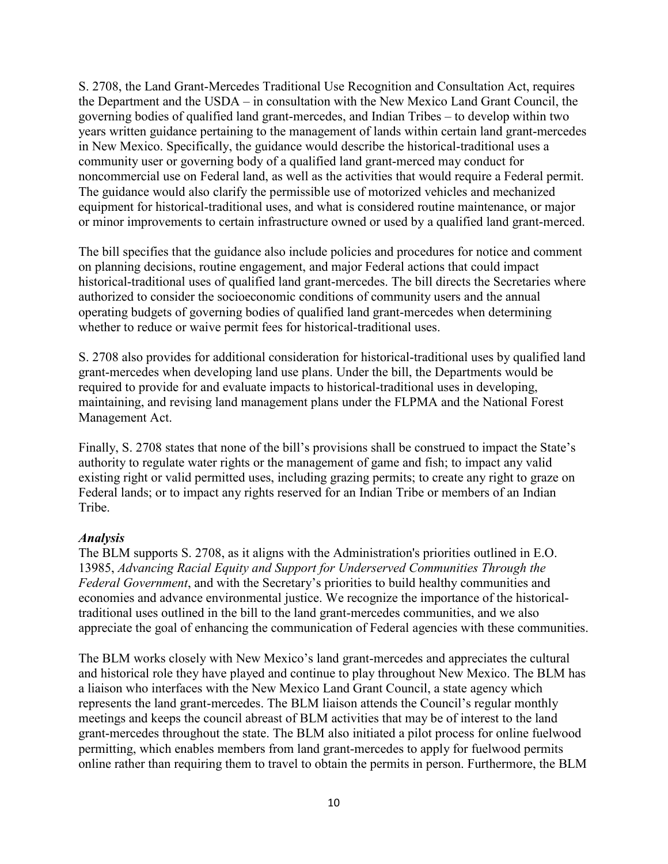S. 2708, the Land Grant-Mercedes Traditional Use Recognition and Consultation Act, requires the Department and the USDA – in consultation with the New Mexico Land Grant Council, the governing bodies of qualified land grant-mercedes, and Indian Tribes – to develop within two years written guidance pertaining to the management of lands within certain land grant-mercedes in New Mexico. Specifically, the guidance would describe the historical-traditional uses a community user or governing body of a qualified land grant-merced may conduct for noncommercial use on Federal land, as well as the activities that would require a Federal permit. The guidance would also clarify the permissible use of motorized vehicles and mechanized equipment for historical-traditional uses, and what is considered routine maintenance, or major or minor improvements to certain infrastructure owned or used by a qualified land grant-merced.

The bill specifies that the guidance also include policies and procedures for notice and comment on planning decisions, routine engagement, and major Federal actions that could impact historical-traditional uses of qualified land grant-mercedes. The bill directs the Secretaries where authorized to consider the socioeconomic conditions of community users and the annual operating budgets of governing bodies of qualified land grant-mercedes when determining whether to reduce or waive permit fees for historical-traditional uses.

S. 2708 also provides for additional consideration for historical-traditional uses by qualified land grant-mercedes when developing land use plans. Under the bill, the Departments would be required to provide for and evaluate impacts to historical-traditional uses in developing, maintaining, and revising land management plans under the FLPMA and the National Forest Management Act.

Finally, S. 2708 states that none of the bill's provisions shall be construed to impact the State's authority to regulate water rights or the management of game and fish; to impact any valid existing right or valid permitted uses, including grazing permits; to create any right to graze on Federal lands; or to impact any rights reserved for an Indian Tribe or members of an Indian Tribe.

#### *Analysis*

The BLM supports S. 2708, as it aligns with the Administration's priorities outlined in E.O. 13985, *Advancing Racial Equity and Support for Underserved Communities Through the Federal Government*, and with the Secretary's priorities to build healthy communities and economies and advance environmental justice. We recognize the importance of the historicaltraditional uses outlined in the bill to the land grant-mercedes communities, and we also appreciate the goal of enhancing the communication of Federal agencies with these communities.

The BLM works closely with New Mexico's land grant-mercedes and appreciates the cultural and historical role they have played and continue to play throughout New Mexico. The BLM has a liaison who interfaces with the New Mexico Land Grant Council, a state agency which represents the land grant-mercedes. The BLM liaison attends the Council's regular monthly meetings and keeps the council abreast of BLM activities that may be of interest to the land grant-mercedes throughout the state. The BLM also initiated a pilot process for online fuelwood permitting, which enables members from land grant-mercedes to apply for fuelwood permits online rather than requiring them to travel to obtain the permits in person. Furthermore, the BLM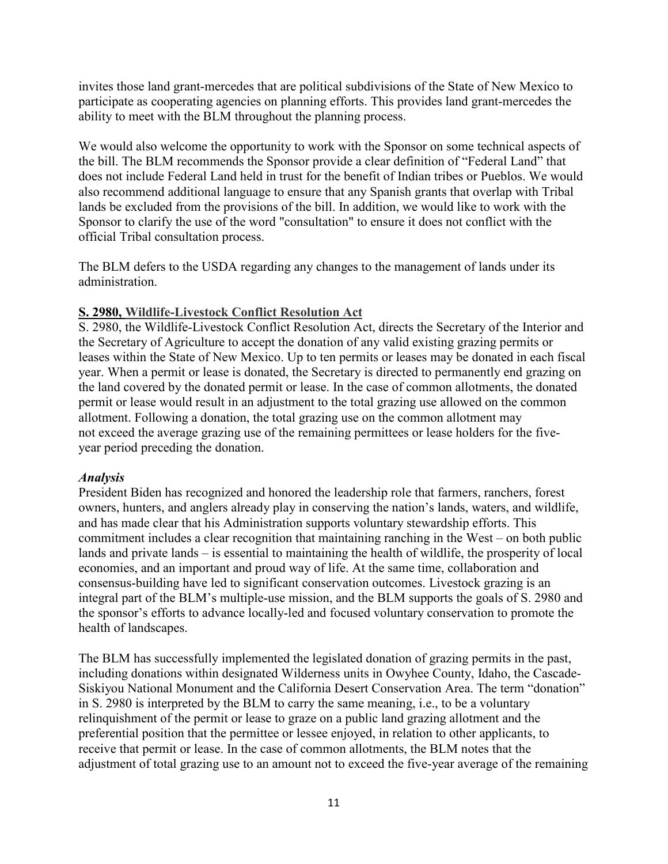invites those land grant-mercedes that are political subdivisions of the State of New Mexico to participate as cooperating agencies on planning efforts. This provides land grant-mercedes the ability to meet with the BLM throughout the planning process.

We would also welcome the opportunity to work with the Sponsor on some technical aspects of the bill. The BLM recommends the Sponsor provide a clear definition of "Federal Land" that does not include Federal Land held in trust for the benefit of Indian tribes or Pueblos. We would also recommend additional language to ensure that any Spanish grants that overlap with Tribal lands be excluded from the provisions of the bill. In addition, we would like to work with the Sponsor to clarify the use of the word "consultation" to ensure it does not conflict with the official Tribal consultation process.

The BLM defers to the USDA regarding any changes to the management of lands under its administration.

#### **S. 2980, Wildlife-Livestock Conflict Resolution Act**

S. 2980, the Wildlife-Livestock Conflict Resolution Act, directs the Secretary of the Interior and the Secretary of Agriculture to accept the donation of any valid existing grazing permits or leases within the State of New Mexico. Up to ten permits or leases may be donated in each fiscal year. When a permit or lease is donated, the Secretary is directed to permanently end grazing on the land covered by the donated permit or lease. In the case of common allotments, the donated permit or lease would result in an adjustment to the total grazing use allowed on the common allotment. Following a donation, the total grazing use on the common allotment may not exceed the average grazing use of the remaining permittees or lease holders for the fiveyear period preceding the donation.

#### *Analysis*

President Biden has recognized and honored the leadership role that farmers, ranchers, forest owners, hunters, and anglers already play in conserving the nation's lands, waters, and wildlife, and has made clear that his Administration supports voluntary stewardship efforts. This commitment includes a clear recognition that maintaining ranching in the West – on both public lands and private lands – is essential to maintaining the health of wildlife, the prosperity of local economies, and an important and proud way of life. At the same time, collaboration and consensus-building have led to significant conservation outcomes. Livestock grazing is an integral part of the BLM's multiple-use mission, and the BLM supports the goals of S. 2980 and the sponsor's efforts to advance locally-led and focused voluntary conservation to promote the health of landscapes.

The BLM has successfully implemented the legislated donation of grazing permits in the past, including donations within designated Wilderness units in Owyhee County, Idaho, the Cascade-Siskiyou National Monument and the California Desert Conservation Area. The term "donation" in S. 2980 is interpreted by the BLM to carry the same meaning, i.e., to be a voluntary relinquishment of the permit or lease to graze on a public land grazing allotment and the preferential position that the permittee or lessee enjoyed, in relation to other applicants, to receive that permit or lease. In the case of common allotments, the BLM notes that the adjustment of total grazing use to an amount not to exceed the five-year average of the remaining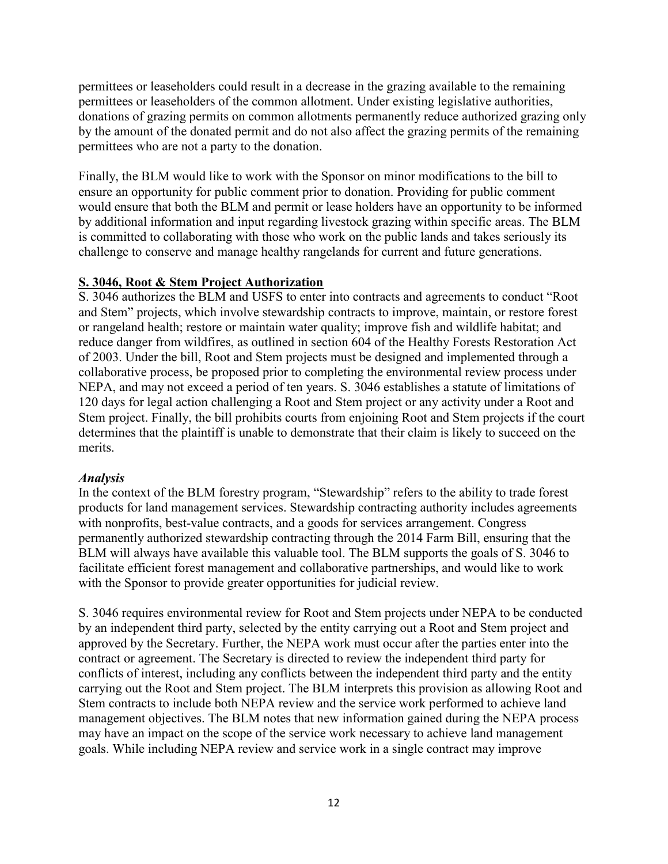permittees or leaseholders could result in a decrease in the grazing available to the remaining permittees or leaseholders of the common allotment. Under existing legislative authorities, donations of grazing permits on common allotments permanently reduce authorized grazing only by the amount of the donated permit and do not also affect the grazing permits of the remaining permittees who are not a party to the donation.

Finally, the BLM would like to work with the Sponsor on minor modifications to the bill to ensure an opportunity for public comment prior to donation. Providing for public comment would ensure that both the BLM and permit or lease holders have an opportunity to be informed by additional information and input regarding livestock grazing within specific areas. The BLM is committed to collaborating with those who work on the public lands and takes seriously its challenge to conserve and manage healthy rangelands for current and future generations.

## **S. 3046, Root & Stem Project Authorization**

S. 3046 authorizes the BLM and USFS to enter into contracts and agreements to conduct "Root and Stem" projects, which involve stewardship contracts to improve, maintain, or restore forest or rangeland health; restore or maintain water quality; improve fish and wildlife habitat; and reduce danger from wildfires, as outlined in section 604 of the Healthy Forests Restoration Act of 2003. Under the bill, Root and Stem projects must be designed and implemented through a collaborative process, be proposed prior to completing the environmental review process under NEPA, and may not exceed a period of ten years. S. 3046 establishes a statute of limitations of 120 days for legal action challenging a Root and Stem project or any activity under a Root and Stem project. Finally, the bill prohibits courts from enjoining Root and Stem projects if the court determines that the plaintiff is unable to demonstrate that their claim is likely to succeed on the merits.

#### *Analysis*

In the context of the BLM forestry program, "Stewardship" refers to the ability to trade forest products for land management services. Stewardship contracting authority includes agreements with nonprofits, best-value contracts, and a goods for services arrangement. Congress permanently authorized stewardship contracting through the 2014 Farm Bill, ensuring that the BLM will always have available this valuable tool. The BLM supports the goals of S. 3046 to facilitate efficient forest management and collaborative partnerships, and would like to work with the Sponsor to provide greater opportunities for judicial review.

S. 3046 requires environmental review for Root and Stem projects under NEPA to be conducted by an independent third party, selected by the entity carrying out a Root and Stem project and approved by the Secretary. Further, the NEPA work must occur after the parties enter into the contract or agreement. The Secretary is directed to review the independent third party for conflicts of interest, including any conflicts between the independent third party and the entity carrying out the Root and Stem project. The BLM interprets this provision as allowing Root and Stem contracts to include both NEPA review and the service work performed to achieve land management objectives. The BLM notes that new information gained during the NEPA process may have an impact on the scope of the service work necessary to achieve land management goals. While including NEPA review and service work in a single contract may improve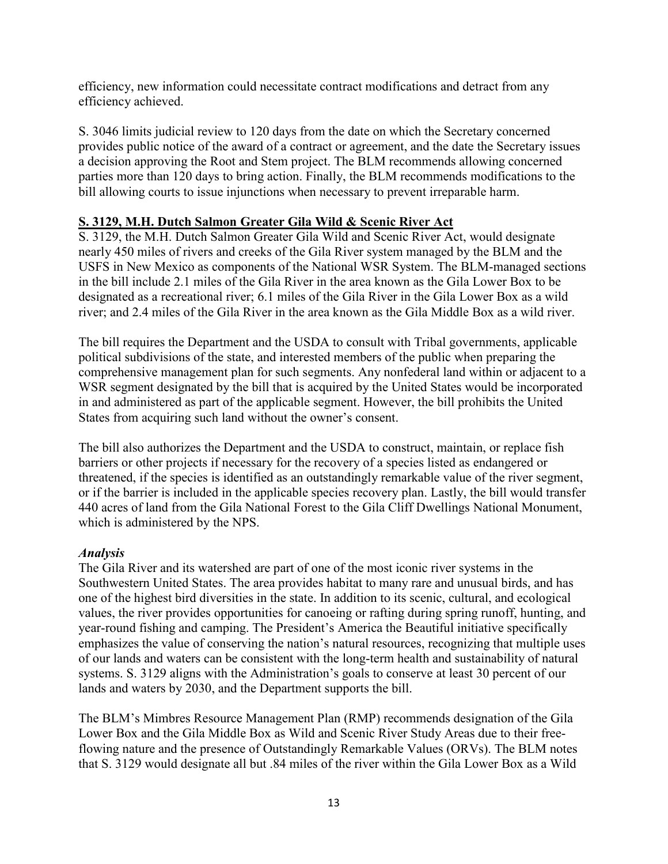efficiency, new information could necessitate contract modifications and detract from any efficiency achieved.

S. 3046 limits judicial review to 120 days from the date on which the Secretary concerned provides public notice of the award of a contract or agreement, and the date the Secretary issues a decision approving the Root and Stem project. The BLM recommends allowing concerned parties more than 120 days to bring action. Finally, the BLM recommends modifications to the bill allowing courts to issue injunctions when necessary to prevent irreparable harm.

#### **S. 3129, M.H. Dutch Salmon Greater Gila Wild & Scenic River Act**

S. 3129, the M.H. Dutch Salmon Greater Gila Wild and Scenic River Act, would designate nearly 450 miles of rivers and creeks of the Gila River system managed by the BLM and the USFS in New Mexico as components of the National WSR System. The BLM-managed sections in the bill include 2.1 miles of the Gila River in the area known as the Gila Lower Box to be designated as a recreational river; 6.1 miles of the Gila River in the Gila Lower Box as a wild river; and 2.4 miles of the Gila River in the area known as the Gila Middle Box as a wild river.

The bill requires the Department and the USDA to consult with Tribal governments, applicable political subdivisions of the state, and interested members of the public when preparing the comprehensive management plan for such segments. Any nonfederal land within or adjacent to a WSR segment designated by the bill that is acquired by the United States would be incorporated in and administered as part of the applicable segment. However, the bill prohibits the United States from acquiring such land without the owner's consent.

The bill also authorizes the Department and the USDA to construct, maintain, or replace fish barriers or other projects if necessary for the recovery of a species listed as endangered or threatened, if the species is identified as an outstandingly remarkable value of the river segment, or if the barrier is included in the applicable species recovery plan. Lastly, the bill would transfer 440 acres of land from the Gila National Forest to the Gila Cliff Dwellings National Monument, which is administered by the NPS.

#### *Analysis*

The Gila River and its watershed are part of one of the most iconic river systems in the Southwestern United States. The area provides habitat to many rare and unusual birds, and has one of the highest bird diversities in the state. In addition to its scenic, cultural, and ecological values, the river provides opportunities for canoeing or rafting during spring runoff, hunting, and year-round fishing and camping. The President's America the Beautiful initiative specifically emphasizes the value of conserving the nation's natural resources, recognizing that multiple uses of our lands and waters can be consistent with the long-term health and sustainability of natural systems. S. 3129 aligns with the Administration's goals to conserve at least 30 percent of our lands and waters by 2030, and the Department supports the bill.

The BLM's Mimbres Resource Management Plan (RMP) recommends designation of the Gila Lower Box and the Gila Middle Box as Wild and Scenic River Study Areas due to their freeflowing nature and the presence of Outstandingly Remarkable Values (ORVs). The BLM notes that S. 3129 would designate all but .84 miles of the river within the Gila Lower Box as a Wild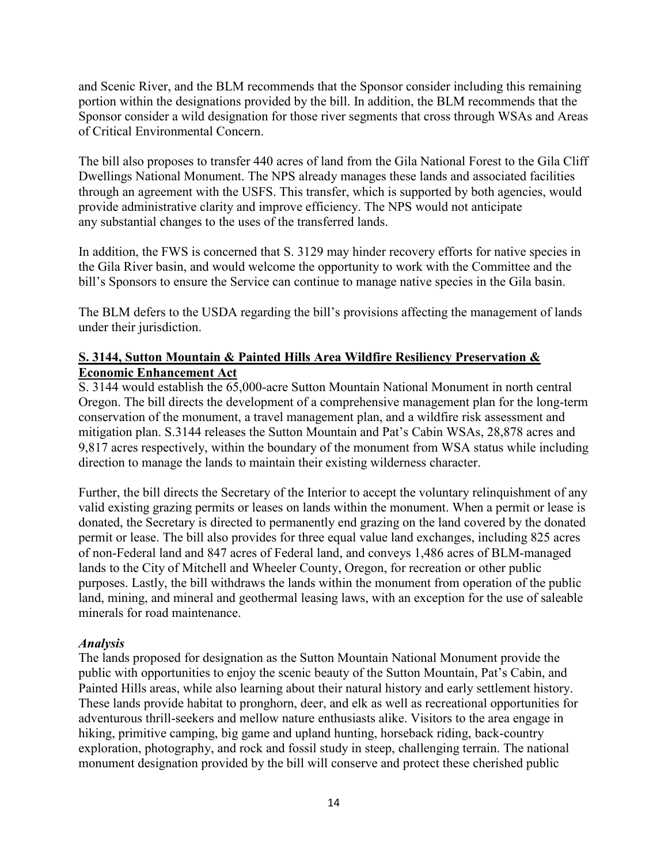and Scenic River, and the BLM recommends that the Sponsor consider including this remaining portion within the designations provided by the bill. In addition, the BLM recommends that the Sponsor consider a wild designation for those river segments that cross through WSAs and Areas of Critical Environmental Concern.

The bill also proposes to transfer 440 acres of land from the Gila National Forest to the Gila Cliff Dwellings National Monument. The NPS already manages these lands and associated facilities through an agreement with the USFS. This transfer, which is supported by both agencies, would provide administrative clarity and improve efficiency. The NPS would not anticipate any substantial changes to the uses of the transferred lands.

In addition, the FWS is concerned that S. 3129 may hinder recovery efforts for native species in the Gila River basin, and would welcome the opportunity to work with the Committee and the bill's Sponsors to ensure the Service can continue to manage native species in the Gila basin.

The BLM defers to the USDA regarding the bill's provisions affecting the management of lands under their jurisdiction.

## **S. 3144, Sutton Mountain & Painted Hills Area Wildfire Resiliency Preservation & Economic Enhancement Act**

S. 3144 would establish the 65,000-acre Sutton Mountain National Monument in north central Oregon. The bill directs the development of a comprehensive management plan for the long-term conservation of the monument, a travel management plan, and a wildfire risk assessment and mitigation plan. S.3144 releases the Sutton Mountain and Pat's Cabin WSAs, 28,878 acres and 9,817 acres respectively, within the boundary of the monument from WSA status while including direction to manage the lands to maintain their existing wilderness character.

Further, the bill directs the Secretary of the Interior to accept the voluntary relinquishment of any valid existing grazing permits or leases on lands within the monument. When a permit or lease is donated, the Secretary is directed to permanently end grazing on the land covered by the donated permit or lease. The bill also provides for three equal value land exchanges, including 825 acres of non-Federal land and 847 acres of Federal land, and conveys 1,486 acres of BLM-managed lands to the City of Mitchell and Wheeler County, Oregon, for recreation or other public purposes. Lastly, the bill withdraws the lands within the monument from operation of the public land, mining, and mineral and geothermal leasing laws, with an exception for the use of saleable minerals for road maintenance.

## *Analysis*

The lands proposed for designation as the Sutton Mountain National Monument provide the public with opportunities to enjoy the scenic beauty of the Sutton Mountain, Pat's Cabin, and Painted Hills areas, while also learning about their natural history and early settlement history. These lands provide habitat to pronghorn, deer, and elk as well as recreational opportunities for adventurous thrill-seekers and mellow nature enthusiasts alike. Visitors to the area engage in hiking, primitive camping, big game and upland hunting, horseback riding, back-country exploration, photography, and rock and fossil study in steep, challenging terrain. The national monument designation provided by the bill will conserve and protect these cherished public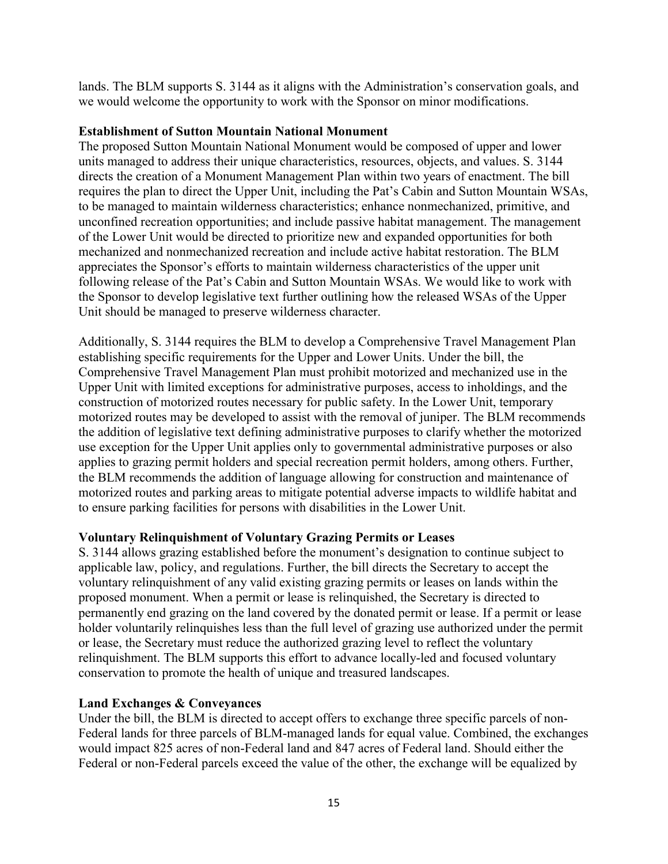lands. The BLM supports S. 3144 as it aligns with the Administration's conservation goals, and we would welcome the opportunity to work with the Sponsor on minor modifications.

#### **Establishment of Sutton Mountain National Monument**

The proposed Sutton Mountain National Monument would be composed of upper and lower units managed to address their unique characteristics, resources, objects, and values. S. 3144 directs the creation of a Monument Management Plan within two years of enactment. The bill requires the plan to direct the Upper Unit, including the Pat's Cabin and Sutton Mountain WSAs, to be managed to maintain wilderness characteristics; enhance nonmechanized, primitive, and unconfined recreation opportunities; and include passive habitat management. The management of the Lower Unit would be directed to prioritize new and expanded opportunities for both mechanized and nonmechanized recreation and include active habitat restoration. The BLM appreciates the Sponsor's efforts to maintain wilderness characteristics of the upper unit following release of the Pat's Cabin and Sutton Mountain WSAs. We would like to work with the Sponsor to develop legislative text further outlining how the released WSAs of the Upper Unit should be managed to preserve wilderness character.

Additionally, S. 3144 requires the BLM to develop a Comprehensive Travel Management Plan establishing specific requirements for the Upper and Lower Units. Under the bill, the Comprehensive Travel Management Plan must prohibit motorized and mechanized use in the Upper Unit with limited exceptions for administrative purposes, access to inholdings, and the construction of motorized routes necessary for public safety. In the Lower Unit, temporary motorized routes may be developed to assist with the removal of juniper. The BLM recommends the addition of legislative text defining administrative purposes to clarify whether the motorized use exception for the Upper Unit applies only to governmental administrative purposes or also applies to grazing permit holders and special recreation permit holders, among others. Further, the BLM recommends the addition of language allowing for construction and maintenance of motorized routes and parking areas to mitigate potential adverse impacts to wildlife habitat and to ensure parking facilities for persons with disabilities in the Lower Unit.

## **Voluntary Relinquishment of Voluntary Grazing Permits or Leases**

S. 3144 allows grazing established before the monument's designation to continue subject to applicable law, policy, and regulations. Further, the bill directs the Secretary to accept the voluntary relinquishment of any valid existing grazing permits or leases on lands within the proposed monument. When a permit or lease is relinquished, the Secretary is directed to permanently end grazing on the land covered by the donated permit or lease. If a permit or lease holder voluntarily relinquishes less than the full level of grazing use authorized under the permit or lease, the Secretary must reduce the authorized grazing level to reflect the voluntary relinquishment. The BLM supports this effort to advance locally-led and focused voluntary conservation to promote the health of unique and treasured landscapes.

## **Land Exchanges & Conveyances**

Under the bill, the BLM is directed to accept offers to exchange three specific parcels of non-Federal lands for three parcels of BLM-managed lands for equal value. Combined, the exchanges would impact 825 acres of non-Federal land and 847 acres of Federal land. Should either the Federal or non-Federal parcels exceed the value of the other, the exchange will be equalized by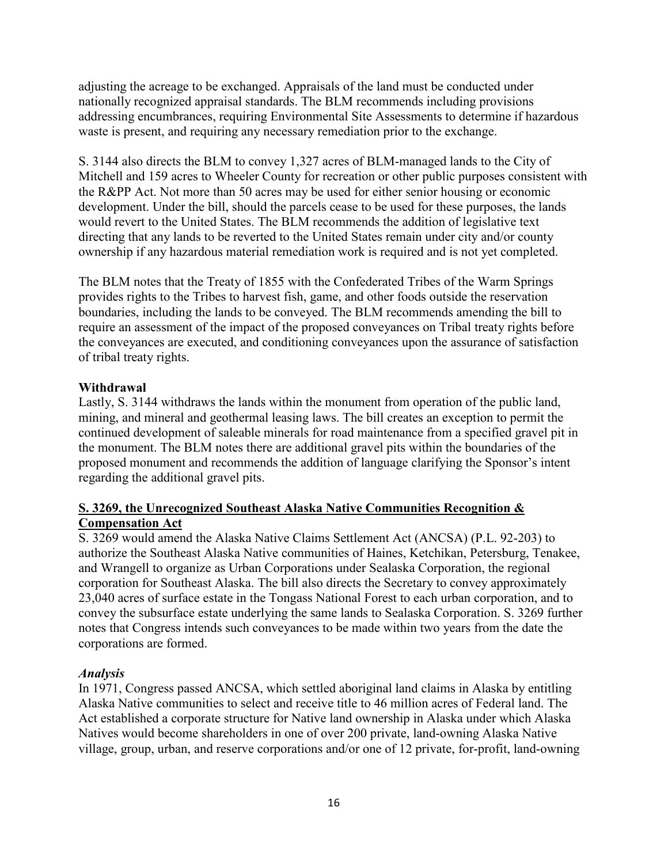adjusting the acreage to be exchanged. Appraisals of the land must be conducted under nationally recognized appraisal standards. The BLM recommends including provisions addressing encumbrances, requiring Environmental Site Assessments to determine if hazardous waste is present, and requiring any necessary remediation prior to the exchange.

S. 3144 also directs the BLM to convey 1,327 acres of BLM-managed lands to the City of Mitchell and 159 acres to Wheeler County for recreation or other public purposes consistent with the R&PP Act. Not more than 50 acres may be used for either senior housing or economic development. Under the bill, should the parcels cease to be used for these purposes, the lands would revert to the United States. The BLM recommends the addition of legislative text directing that any lands to be reverted to the United States remain under city and/or county ownership if any hazardous material remediation work is required and is not yet completed.

The BLM notes that the Treaty of 1855 with the Confederated Tribes of the Warm Springs provides rights to the Tribes to harvest fish, game, and other foods outside the reservation boundaries, including the lands to be conveyed. The BLM recommends amending the bill to require an assessment of the impact of the proposed conveyances on Tribal treaty rights before the conveyances are executed, and conditioning conveyances upon the assurance of satisfaction of tribal treaty rights.

## **Withdrawal**

Lastly, S. 3144 withdraws the lands within the monument from operation of the public land, mining, and mineral and geothermal leasing laws. The bill creates an exception to permit the continued development of saleable minerals for road maintenance from a specified gravel pit in the monument. The BLM notes there are additional gravel pits within the boundaries of the proposed monument and recommends the addition of language clarifying the Sponsor's intent regarding the additional gravel pits.

## **S. 3269, the Unrecognized Southeast Alaska Native Communities Recognition & Compensation Act**

S. 3269 would amend the Alaska Native Claims Settlement Act (ANCSA) (P.L. 92-203) to authorize the Southeast Alaska Native communities of Haines, Ketchikan, Petersburg, Tenakee, and Wrangell to organize as Urban Corporations under Sealaska Corporation, the regional corporation for Southeast Alaska. The bill also directs the Secretary to convey approximately 23,040 acres of surface estate in the Tongass National Forest to each urban corporation, and to convey the subsurface estate underlying the same lands to Sealaska Corporation. S. 3269 further notes that Congress intends such conveyances to be made within two years from the date the corporations are formed.

## *Analysis*

In 1971, Congress passed ANCSA, which settled aboriginal land claims in Alaska by entitling Alaska Native communities to select and receive title to 46 million acres of Federal land. The Act established a corporate structure for Native land ownership in Alaska under which Alaska Natives would become shareholders in one of over 200 private, land-owning Alaska Native village, group, urban, and reserve corporations and/or one of 12 private, for-profit, land-owning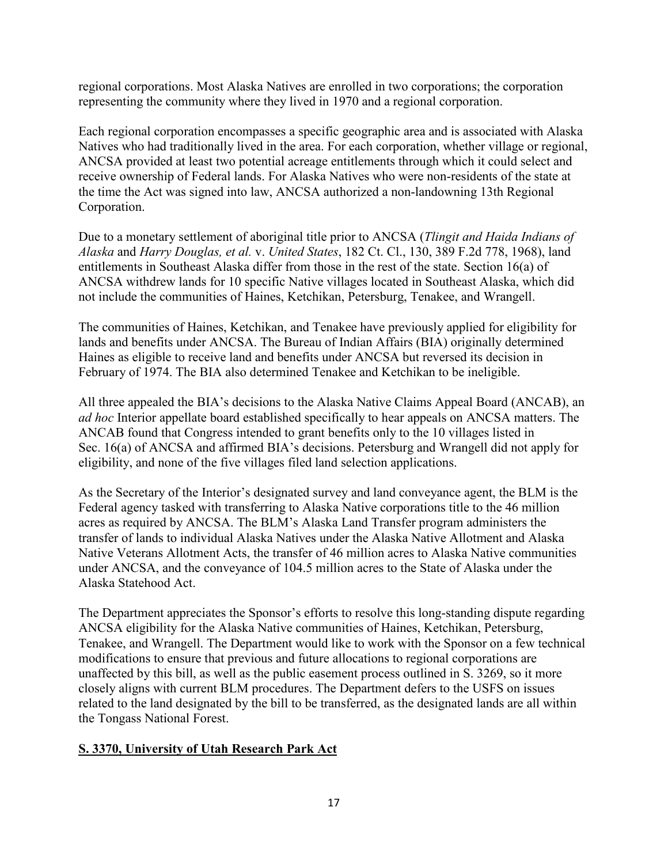regional corporations. Most Alaska Natives are enrolled in two corporations; the corporation representing the community where they lived in 1970 and a regional corporation.

Each regional corporation encompasses a specific geographic area and is associated with Alaska Natives who had traditionally lived in the area. For each corporation, whether village or regional, ANCSA provided at least two potential acreage entitlements through which it could select and receive ownership of Federal lands. For Alaska Natives who were non-residents of the state at the time the Act was signed into law, ANCSA authorized a non-landowning 13th Regional Corporation.

Due to a monetary settlement of aboriginal title prior to ANCSA (*Tlingit and Haida Indians of Alaska* and *Harry Douglas, et al.* v. *United States*, 182 Ct. Cl., 130, 389 F.2d 778, 1968), land entitlements in Southeast Alaska differ from those in the rest of the state. Section 16(a) of ANCSA withdrew lands for 10 specific Native villages located in Southeast Alaska, which did not include the communities of Haines, Ketchikan, Petersburg, Tenakee, and Wrangell.

The communities of Haines, Ketchikan, and Tenakee have previously applied for eligibility for lands and benefits under ANCSA. The Bureau of Indian Affairs (BIA) originally determined Haines as eligible to receive land and benefits under ANCSA but reversed its decision in February of 1974. The BIA also determined Tenakee and Ketchikan to be ineligible.

All three appealed the BIA's decisions to the Alaska Native Claims Appeal Board (ANCAB), an *ad hoc* Interior appellate board established specifically to hear appeals on ANCSA matters. The ANCAB found that Congress intended to grant benefits only to the 10 villages listed in Sec. 16(a) of ANCSA and affirmed BIA's decisions. Petersburg and Wrangell did not apply for eligibility, and none of the five villages filed land selection applications.

As the Secretary of the Interior's designated survey and land conveyance agent, the BLM is the Federal agency tasked with transferring to Alaska Native corporations title to the 46 million acres as required by ANCSA. The BLM's Alaska Land Transfer program administers the transfer of lands to individual Alaska Natives under the Alaska Native Allotment and Alaska Native Veterans Allotment Acts, the transfer of 46 million acres to Alaska Native communities under ANCSA, and the conveyance of 104.5 million acres to the State of Alaska under the Alaska Statehood Act.

The Department appreciates the Sponsor's efforts to resolve this long-standing dispute regarding ANCSA eligibility for the Alaska Native communities of Haines, Ketchikan, Petersburg, Tenakee, and Wrangell. The Department would like to work with the Sponsor on a few technical modifications to ensure that previous and future allocations to regional corporations are unaffected by this bill, as well as the public easement process outlined in S. 3269, so it more closely aligns with current BLM procedures. The Department defers to the USFS on issues related to the land designated by the bill to be transferred, as the designated lands are all within the Tongass National Forest.

## **S. 3370, University of Utah Research Park Act**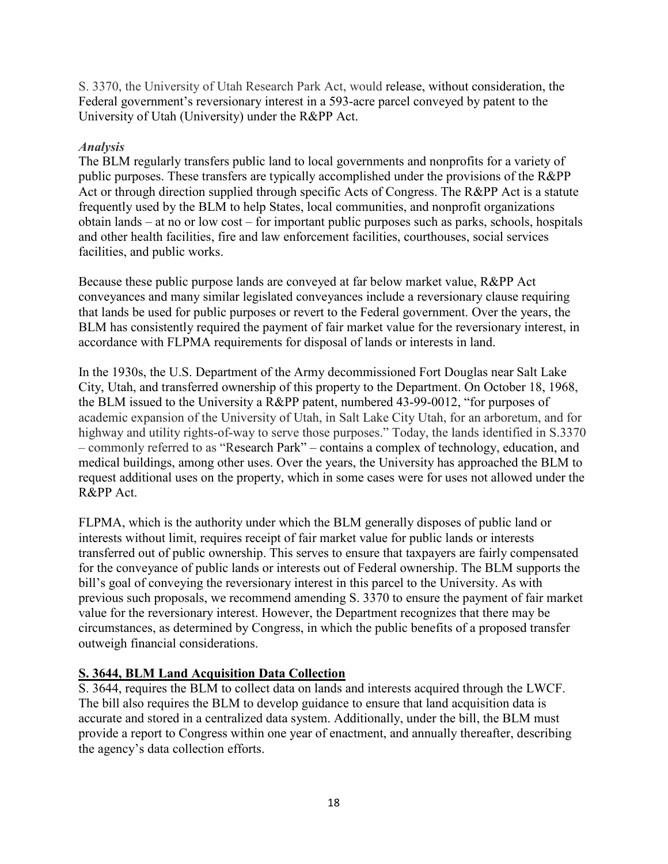S. 3370, the University of Utah Research Park Act, would release, without consideration, the Federal government's reversionary interest in a 593-acre parcel conveyed by patent to the University of Utah (University) under the R&PP Act.

#### *Analysis*

The BLM regularly transfers public land to local governments and nonprofits for a variety of public purposes. These transfers are typically accomplished under the provisions of the R&PP Act or through direction supplied through specific Acts of Congress. The R&PP Act is a statute frequently used by the BLM to help States, local communities, and nonprofit organizations obtain lands – at no or low cost – for important public purposes such as parks, schools, hospitals and other health facilities, fire and law enforcement facilities, courthouses, social services facilities, and public works.

Because these public purpose lands are conveyed at far below market value, R&PP Act conveyances and many similar legislated conveyances include a reversionary clause requiring that lands be used for public purposes or revert to the Federal government. Over the years, the BLM has consistently required the payment of fair market value for the reversionary interest, in accordance with FLPMA requirements for disposal of lands or interests in land.

In the 1930s, the U.S. Department of the Army decommissioned Fort Douglas near Salt Lake City, Utah, and transferred ownership of this property to the Department. On October 18, 1968, the BLM issued to the University a R&PP patent, numbered 43-99-0012, "for purposes of academic expansion of the University of Utah, in Salt Lake City Utah, for an arboretum, and for highway and utility rights-of-way to serve those purposes." Today, the lands identified in S.3370 – commonly referred to as "Research Park" – contains a complex of technology, education, and medical buildings, among other uses. Over the years, the University has approached the BLM to request additional uses on the property, which in some cases were for uses not allowed under the R&PP Act.

FLPMA, which is the authority under which the BLM generally disposes of public land or interests without limit, requires receipt of fair market value for public lands or interests transferred out of public ownership. This serves to ensure that taxpayers are fairly compensated for the conveyance of public lands or interests out of Federal ownership. The BLM supports the bill's goal of conveying the reversionary interest in this parcel to the University. As with previous such proposals, we recommend amending S. 3370 to ensure the payment of fair market value for the reversionary interest. However, the Department recognizes that there may be circumstances, as determined by Congress, in which the public benefits of a proposed transfer outweigh financial considerations.

## **S. 3644, BLM Land Acquisition Data Collection**

S. 3644, requires the BLM to collect data on lands and interests acquired through the LWCF. The bill also requires the BLM to develop guidance to ensure that land acquisition data is accurate and stored in a centralized data system. Additionally, under the bill, the BLM must provide a report to Congress within one year of enactment, and annually thereafter, describing the agency's data collection efforts.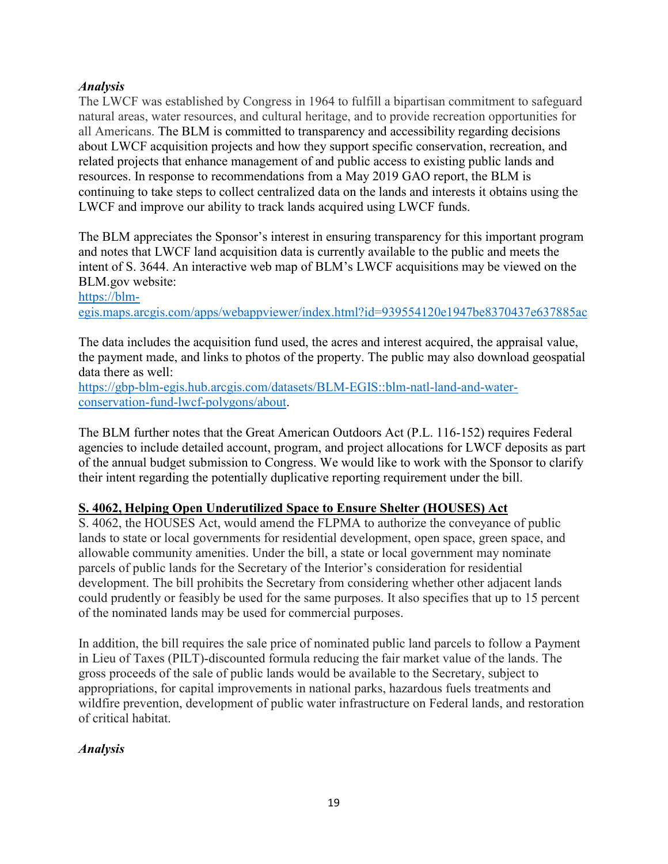#### *Analysis*

The LWCF was established by Congress in 1964 to fulfill a bipartisan commitment to safeguard natural areas, water resources, and cultural heritage, and to provide recreation opportunities for all Americans. The BLM is committed to transparency and accessibility regarding decisions about LWCF acquisition projects and how they support specific conservation, recreation, and related projects that enhance management of and public access to existing public lands and resources. In response to recommendations from a May 2019 GAO report, the BLM is continuing to take steps to collect centralized data on the lands and interests it obtains using the LWCF and improve our ability to track lands acquired using LWCF funds.

The BLM appreciates the Sponsor's interest in ensuring transparency for this important program and notes that LWCF land acquisition data is currently available to the public and meets the intent of S. 3644. An interactive web map of BLM's LWCF acquisitions may be viewed on the BLM.gov website:

[https://blm-](https://blm-egis.maps.arcgis.com/apps/webappviewer/index.html?id=939554120e1947be8370437e637885ac)

[egis.maps.arcgis.com/apps/webappviewer/index.html?id=939554120e1947be8370437e637885ac](https://blm-egis.maps.arcgis.com/apps/webappviewer/index.html?id=939554120e1947be8370437e637885ac) 

The data includes the acquisition fund used, the acres and interest acquired, the appraisal value, the payment made, and links to photos of the property. The public may also download geospatial data there as well:

[https://gbp-blm-egis.hub.arcgis.com/datasets/BLM-EGIS::blm-natl-land-and-water](https://gbp-blm-egis.hub.arcgis.com/datasets/BLM-EGIS::blm-natl-land-and-water-conservation-fund-lwcf-polygons/about)[conservation-fund-lwcf-polygons/about.](https://gbp-blm-egis.hub.arcgis.com/datasets/BLM-EGIS::blm-natl-land-and-water-conservation-fund-lwcf-polygons/about)

The BLM further notes that the Great American Outdoors Act (P.L. 116-152) requires Federal agencies to include detailed account, program, and project allocations for LWCF deposits as part of the annual budget submission to Congress. We would like to work with the Sponsor to clarify their intent regarding the potentially duplicative reporting requirement under the bill.

## **S. 4062, Helping Open Underutilized Space to Ensure Shelter (HOUSES) Act**

S. 4062, the HOUSES Act, would amend the FLPMA to authorize the conveyance of public lands to state or local governments for residential development, open space, green space, and allowable community amenities. Under the bill, a state or local government may nominate parcels of public lands for the Secretary of the Interior's consideration for residential development. The bill prohibits the Secretary from considering whether other adjacent lands could prudently or feasibly be used for the same purposes. It also specifies that up to 15 percent of the nominated lands may be used for commercial purposes.

In addition, the bill requires the sale price of nominated public land parcels to follow a Payment in Lieu of Taxes (PILT)-discounted formula reducing the fair market value of the lands. The gross proceeds of the sale of public lands would be available to the Secretary, subject to appropriations, for capital improvements in national parks, hazardous fuels treatments and wildfire prevention, development of public water infrastructure on Federal lands, and restoration of critical habitat.

#### *Analysis*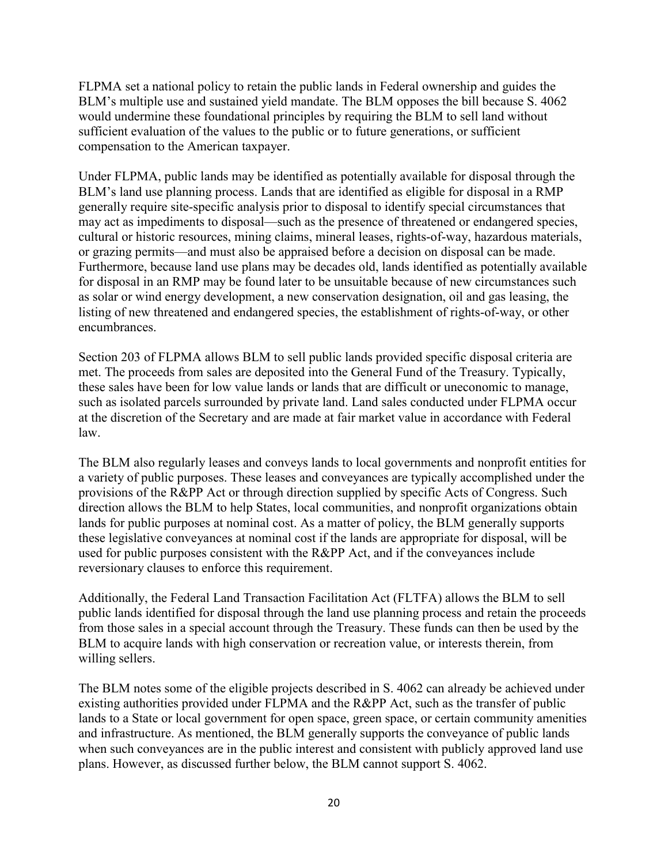FLPMA set a national policy to retain the public lands in Federal ownership and guides the BLM's multiple use and sustained yield mandate. The BLM opposes the bill because S. 4062 would undermine these foundational principles by requiring the BLM to sell land without sufficient evaluation of the values to the public or to future generations, or sufficient compensation to the American taxpayer.

Under FLPMA, public lands may be identified as potentially available for disposal through the BLM's land use planning process. Lands that are identified as eligible for disposal in a RMP generally require site-specific analysis prior to disposal to identify special circumstances that may act as impediments to disposal—such as the presence of threatened or endangered species, cultural or historic resources, mining claims, mineral leases, rights-of-way, hazardous materials, or grazing permits—and must also be appraised before a decision on disposal can be made. Furthermore, because land use plans may be decades old, lands identified as potentially available for disposal in an RMP may be found later to be unsuitable because of new circumstances such as solar or wind energy development, a new conservation designation, oil and gas leasing, the listing of new threatened and endangered species, the establishment of rights-of-way, or other encumbrances.

Section 203 of FLPMA allows BLM to sell public lands provided specific disposal criteria are met. The proceeds from sales are deposited into the General Fund of the Treasury. Typically, these sales have been for low value lands or lands that are difficult or uneconomic to manage, such as isolated parcels surrounded by private land. Land sales conducted under FLPMA occur at the discretion of the Secretary and are made at fair market value in accordance with Federal law.

The BLM also regularly leases and conveys lands to local governments and nonprofit entities for a variety of public purposes. These leases and conveyances are typically accomplished under the provisions of the R&PP Act or through direction supplied by specific Acts of Congress. Such direction allows the BLM to help States, local communities, and nonprofit organizations obtain lands for public purposes at nominal cost. As a matter of policy, the BLM generally supports these legislative conveyances at nominal cost if the lands are appropriate for disposal, will be used for public purposes consistent with the R&PP Act, and if the conveyances include reversionary clauses to enforce this requirement.

Additionally, the Federal Land Transaction Facilitation Act (FLTFA) allows the BLM to sell public lands identified for disposal through the land use planning process and retain the proceeds from those sales in a special account through the Treasury. These funds can then be used by the BLM to acquire lands with high conservation or recreation value, or interests therein, from willing sellers.

The BLM notes some of the eligible projects described in S. 4062 can already be achieved under existing authorities provided under FLPMA and the R&PP Act, such as the transfer of public lands to a State or local government for open space, green space, or certain community amenities and infrastructure. As mentioned, the BLM generally supports the conveyance of public lands when such conveyances are in the public interest and consistent with publicly approved land use plans. However, as discussed further below, the BLM cannot support S. 4062.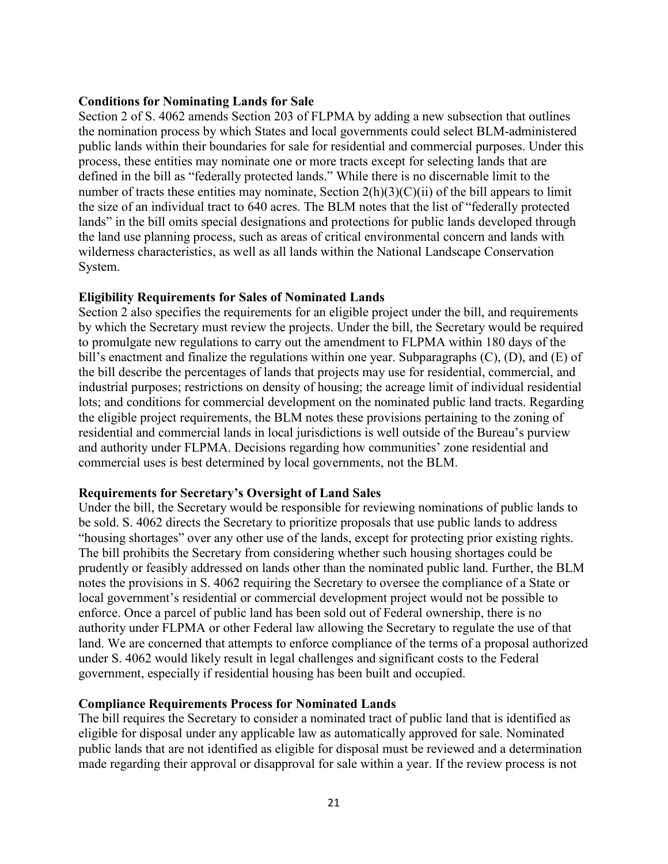#### **Conditions for Nominating Lands for Sale**

Section 2 of S. 4062 amends Section 203 of FLPMA by adding a new subsection that outlines the nomination process by which States and local governments could select BLM-administered public lands within their boundaries for sale for residential and commercial purposes. Under this process, these entities may nominate one or more tracts except for selecting lands that are defined in the bill as "federally protected lands." While there is no discernable limit to the number of tracts these entities may nominate, Section 2(h)(3)(C)(ii) of the bill appears to limit the size of an individual tract to 640 acres. The BLM notes that the list of "federally protected lands" in the bill omits special designations and protections for public lands developed through the land use planning process, such as areas of critical environmental concern and lands with wilderness characteristics, as well as all lands within the National Landscape Conservation System.

#### **Eligibility Requirements for Sales of Nominated Lands**

Section 2 also specifies the requirements for an eligible project under the bill, and requirements by which the Secretary must review the projects. Under the bill, the Secretary would be required to promulgate new regulations to carry out the amendment to FLPMA within 180 days of the bill's enactment and finalize the regulations within one year. Subparagraphs  $(C)$ ,  $(D)$ , and  $(E)$  of the bill describe the percentages of lands that projects may use for residential, commercial, and industrial purposes; restrictions on density of housing; the acreage limit of individual residential lots; and conditions for commercial development on the nominated public land tracts. Regarding the eligible project requirements, the BLM notes these provisions pertaining to the zoning of residential and commercial lands in local jurisdictions is well outside of the Bureau's purview and authority under FLPMA. Decisions regarding how communities' zone residential and commercial uses is best determined by local governments, not the BLM.

#### **Requirements for Secretary's Oversight of Land Sales**

Under the bill, the Secretary would be responsible for reviewing nominations of public lands to be sold. S. 4062 directs the Secretary to prioritize proposals that use public lands to address "housing shortages" over any other use of the lands, except for protecting prior existing rights. The bill prohibits the Secretary from considering whether such housing shortages could be prudently or feasibly addressed on lands other than the nominated public land. Further, the BLM notes the provisions in S. 4062 requiring the Secretary to oversee the compliance of a State or local government's residential or commercial development project would not be possible to enforce. Once a parcel of public land has been sold out of Federal ownership, there is no authority under FLPMA or other Federal law allowing the Secretary to regulate the use of that land. We are concerned that attempts to enforce compliance of the terms of a proposal authorized under S. 4062 would likely result in legal challenges and significant costs to the Federal government, especially if residential housing has been built and occupied.

#### **Compliance Requirements Process for Nominated Lands**

The bill requires the Secretary to consider a nominated tract of public land that is identified as eligible for disposal under any applicable law as automatically approved for sale. Nominated public lands that are not identified as eligible for disposal must be reviewed and a determination made regarding their approval or disapproval for sale within a year. If the review process is not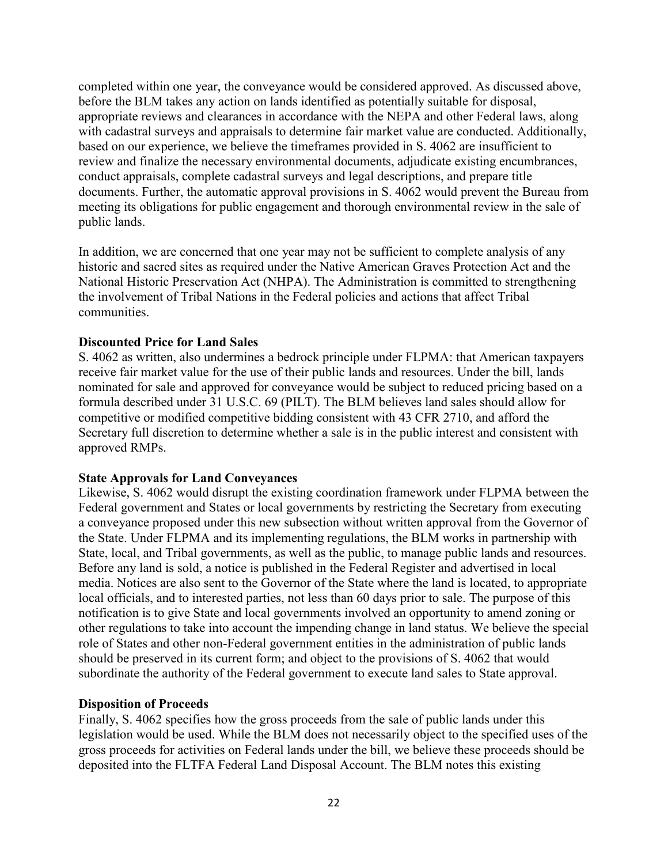completed within one year, the conveyance would be considered approved. As discussed above, before the BLM takes any action on lands identified as potentially suitable for disposal, appropriate reviews and clearances in accordance with the NEPA and other Federal laws, along with cadastral surveys and appraisals to determine fair market value are conducted. Additionally, based on our experience, we believe the timeframes provided in S. 4062 are insufficient to review and finalize the necessary environmental documents, adjudicate existing encumbrances, conduct appraisals, complete cadastral surveys and legal descriptions, and prepare title documents. Further, the automatic approval provisions in S. 4062 would prevent the Bureau from meeting its obligations for public engagement and thorough environmental review in the sale of public lands.

In addition, we are concerned that one year may not be sufficient to complete analysis of any historic and sacred sites as required under the Native American Graves Protection Act and the National Historic Preservation Act (NHPA). The Administration is committed to strengthening the involvement of Tribal Nations in the Federal policies and actions that affect Tribal communities.

#### **Discounted Price for Land Sales**

S. 4062 as written, also undermines a bedrock principle under FLPMA: that American taxpayers receive fair market value for the use of their public lands and resources. Under the bill, lands nominated for sale and approved for conveyance would be subject to reduced pricing based on a formula described under 31 U.S.C. 69 (PILT). The BLM believes land sales should allow for competitive or modified competitive bidding consistent with 43 CFR 2710, and afford the Secretary full discretion to determine whether a sale is in the public interest and consistent with approved RMPs.

#### **State Approvals for Land Conveyances**

Likewise, S. 4062 would disrupt the existing coordination framework under FLPMA between the Federal government and States or local governments by restricting the Secretary from executing a conveyance proposed under this new subsection without written approval from the Governor of the State. Under FLPMA and its implementing regulations, the BLM works in partnership with State, local, and Tribal governments, as well as the public, to manage public lands and resources. Before any land is sold, a notice is published in the Federal Register and advertised in local media. Notices are also sent to the Governor of the State where the land is located, to appropriate local officials, and to interested parties, not less than 60 days prior to sale. The purpose of this notification is to give State and local governments involved an opportunity to amend zoning or other regulations to take into account the impending change in land status. We believe the special role of States and other non-Federal government entities in the administration of public lands should be preserved in its current form; and object to the provisions of S. 4062 that would subordinate the authority of the Federal government to execute land sales to State approval.

#### **Disposition of Proceeds**

Finally, S. 4062 specifies how the gross proceeds from the sale of public lands under this legislation would be used. While the BLM does not necessarily object to the specified uses of the gross proceeds for activities on Federal lands under the bill, we believe these proceeds should be deposited into the FLTFA Federal Land Disposal Account. The BLM notes this existing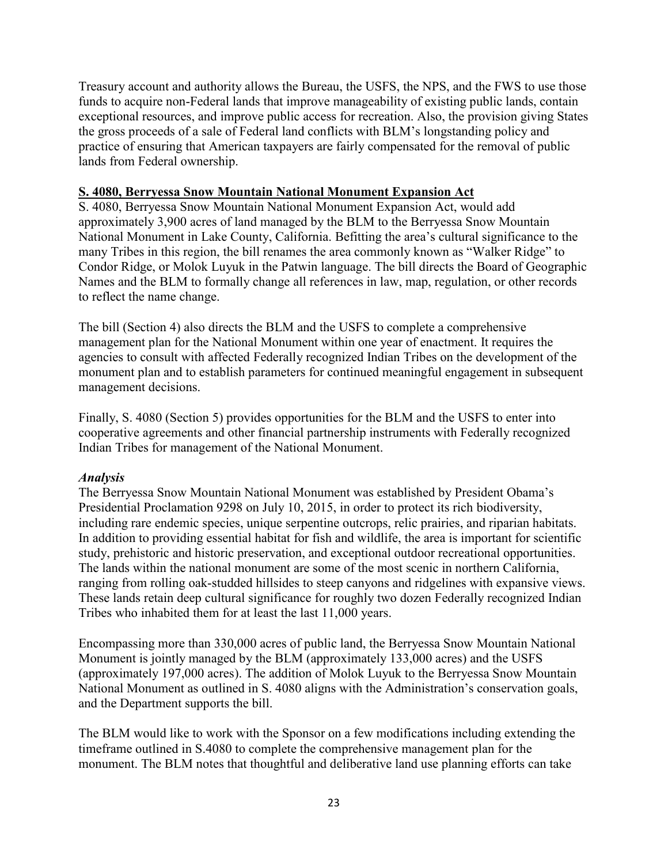Treasury account and authority allows the Bureau, the USFS, the NPS, and the FWS to use those funds to acquire non-Federal lands that improve manageability of existing public lands, contain exceptional resources, and improve public access for recreation. Also, the provision giving States the gross proceeds of a sale of Federal land conflicts with BLM's longstanding policy and practice of ensuring that American taxpayers are fairly compensated for the removal of public lands from Federal ownership.

#### **S. 4080, Berryessa Snow Mountain National Monument Expansion Act**

S. 4080, Berryessa Snow Mountain National Monument Expansion Act, would add approximately 3,900 acres of land managed by the BLM to the Berryessa Snow Mountain National Monument in Lake County, California. Befitting the area's cultural significance to the many Tribes in this region, the bill renames the area commonly known as "Walker Ridge" to Condor Ridge, or Molok Luyuk in the Patwin language. The bill directs the Board of Geographic Names and the BLM to formally change all references in law, map, regulation, or other records to reflect the name change.

The bill (Section 4) also directs the BLM and the USFS to complete a comprehensive management plan for the National Monument within one year of enactment. It requires the agencies to consult with affected Federally recognized Indian Tribes on the development of the monument plan and to establish parameters for continued meaningful engagement in subsequent management decisions.

Finally, S. 4080 (Section 5) provides opportunities for the BLM and the USFS to enter into cooperative agreements and other financial partnership instruments with Federally recognized Indian Tribes for management of the National Monument.

## *Analysis*

The Berryessa Snow Mountain National Monument was established by President Obama's Presidential Proclamation 9298 on July 10, 2015, in order to protect its rich biodiversity, including rare endemic species, unique serpentine outcrops, relic prairies, and riparian habitats. In addition to providing essential habitat for fish and wildlife, the area is important for scientific study, prehistoric and historic preservation, and exceptional outdoor recreational opportunities. The lands within the national monument are some of the most scenic in northern California, ranging from rolling oak-studded hillsides to steep canyons and ridgelines with expansive views. These lands retain deep cultural significance for roughly two dozen Federally recognized Indian Tribes who inhabited them for at least the last 11,000 years.

Encompassing more than 330,000 acres of public land, the Berryessa Snow Mountain National Monument is jointly managed by the BLM (approximately 133,000 acres) and the USFS (approximately 197,000 acres). The addition of Molok Luyuk to the Berryessa Snow Mountain National Monument as outlined in S. 4080 aligns with the Administration's conservation goals, and the Department supports the bill.

The BLM would like to work with the Sponsor on a few modifications including extending the timeframe outlined in S.4080 to complete the comprehensive management plan for the monument. The BLM notes that thoughtful and deliberative land use planning efforts can take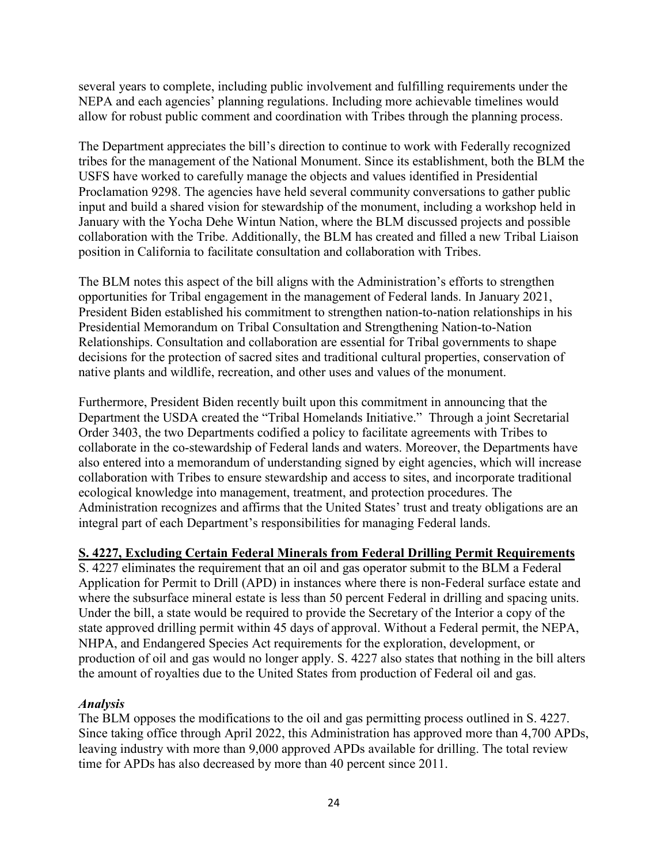several years to complete, including public involvement and fulfilling requirements under the NEPA and each agencies' planning regulations. Including more achievable timelines would allow for robust public comment and coordination with Tribes through the planning process.

The Department appreciates the bill's direction to continue to work with Federally recognized tribes for the management of the National Monument. Since its establishment, both the BLM the USFS have worked to carefully manage the objects and values identified in Presidential Proclamation 9298. The agencies have held several community conversations to gather public input and build a shared vision for stewardship of the monument, including a workshop held in January with the Yocha Dehe Wintun Nation, where the BLM discussed projects and possible collaboration with the Tribe. Additionally, the BLM has created and filled a new Tribal Liaison position in California to facilitate consultation and collaboration with Tribes.

The BLM notes this aspect of the bill aligns with the Administration's efforts to strengthen opportunities for Tribal engagement in the management of Federal lands. In January 2021, President Biden established his commitment to strengthen nation-to-nation relationships in his Presidential Memorandum on Tribal Consultation and Strengthening Nation-to-Nation Relationships. Consultation and collaboration are essential for Tribal governments to shape decisions for the protection of sacred sites and traditional cultural properties, conservation of native plants and wildlife, recreation, and other uses and values of the monument.

Furthermore, President Biden recently built upon this commitment in announcing that the Department the USDA created the "Tribal Homelands Initiative." Through a joint Secretarial Order 3403, the two Departments codified a policy to facilitate agreements with Tribes to collaborate in the co-stewardship of Federal lands and waters. Moreover, the Departments have also entered into a memorandum of understanding signed by eight agencies, which will increase collaboration with Tribes to ensure stewardship and access to sites, and incorporate traditional ecological knowledge into management, treatment, and protection procedures. The Administration recognizes and affirms that the United States' trust and treaty obligations are an integral part of each Department's responsibilities for managing Federal lands.

## **S. 4227, Excluding Certain Federal Minerals from Federal Drilling Permit Requirements**

S. 4227 eliminates the requirement that an oil and gas operator submit to the BLM a Federal Application for Permit to Drill (APD) in instances where there is non-Federal surface estate and where the subsurface mineral estate is less than 50 percent Federal in drilling and spacing units. Under the bill, a state would be required to provide the Secretary of the Interior a copy of the state approved drilling permit within 45 days of approval. Without a Federal permit, the NEPA, NHPA, and Endangered Species Act requirements for the exploration, development, or production of oil and gas would no longer apply. S. 4227 also states that nothing in the bill alters the amount of royalties due to the United States from production of Federal oil and gas.

#### *Analysis*

The BLM opposes the modifications to the oil and gas permitting process outlined in S. 4227. Since taking office through April 2022, this Administration has approved more than 4,700 APDs, leaving industry with more than 9,000 approved APDs available for drilling. The total review time for APDs has also decreased by more than 40 percent since 2011.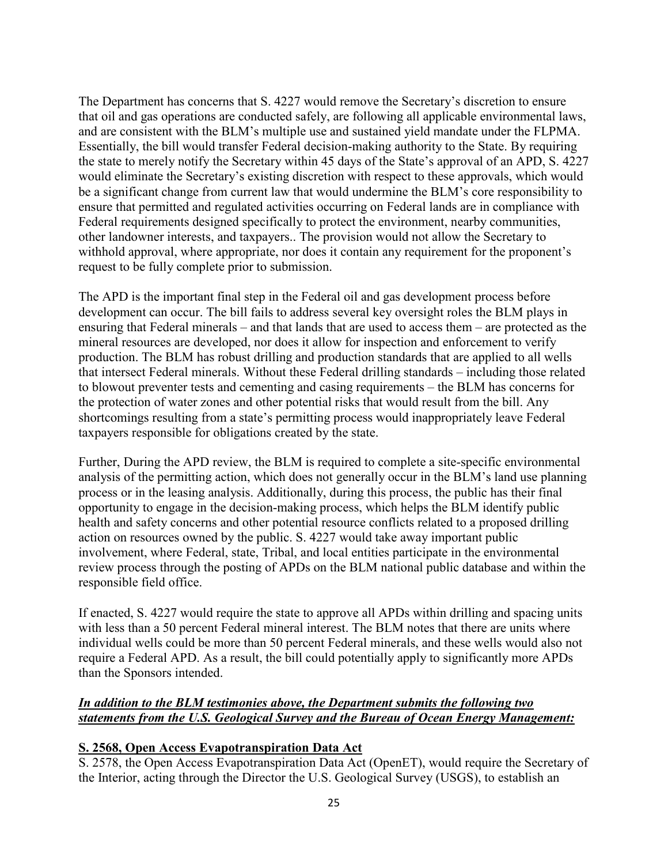The Department has concerns that S. 4227 would remove the Secretary's discretion to ensure that oil and gas operations are conducted safely, are following all applicable environmental laws, and are consistent with the BLM's multiple use and sustained yield mandate under the FLPMA. Essentially, the bill would transfer Federal decision-making authority to the State. By requiring the state to merely notify the Secretary within 45 days of the State's approval of an APD, S. 4227 would eliminate the Secretary's existing discretion with respect to these approvals, which would be a significant change from current law that would undermine the BLM's core responsibility to ensure that permitted and regulated activities occurring on Federal lands are in compliance with Federal requirements designed specifically to protect the environment, nearby communities, other landowner interests, and taxpayers.. The provision would not allow the Secretary to withhold approval, where appropriate, nor does it contain any requirement for the proponent's request to be fully complete prior to submission.

The APD is the important final step in the Federal oil and gas development process before development can occur. The bill fails to address several key oversight roles the BLM plays in ensuring that Federal minerals – and that lands that are used to access them – are protected as the mineral resources are developed, nor does it allow for inspection and enforcement to verify production. The BLM has robust drilling and production standards that are applied to all wells that intersect Federal minerals. Without these Federal drilling standards – including those related to blowout preventer tests and cementing and casing requirements – the BLM has concerns for the protection of water zones and other potential risks that would result from the bill. Any shortcomings resulting from a state's permitting process would inappropriately leave Federal taxpayers responsible for obligations created by the state.

Further, During the APD review, the BLM is required to complete a site-specific environmental analysis of the permitting action, which does not generally occur in the BLM's land use planning process or in the leasing analysis. Additionally, during this process, the public has their final opportunity to engage in the decision-making process, which helps the BLM identify public health and safety concerns and other potential resource conflicts related to a proposed drilling action on resources owned by the public. S. 4227 would take away important public involvement, where Federal, state, Tribal, and local entities participate in the environmental review process through the posting of APDs on the BLM national public database and within the responsible field office.

If enacted, S. 4227 would require the state to approve all APDs within drilling and spacing units with less than a 50 percent Federal mineral interest. The BLM notes that there are units where individual wells could be more than 50 percent Federal minerals, and these wells would also not require a Federal APD. As a result, the bill could potentially apply to significantly more APDs than the Sponsors intended.

## *In addition to the BLM testimonies above, the Department submits the following two statements from the U.S. Geological Survey and the Bureau of Ocean Energy Management:*

# **S. 2568, Open Access Evapotranspiration Data Act**

S. 2578, the Open Access Evapotranspiration Data Act (OpenET), would require the Secretary of the Interior, acting through the Director the U.S. Geological Survey (USGS), to establish an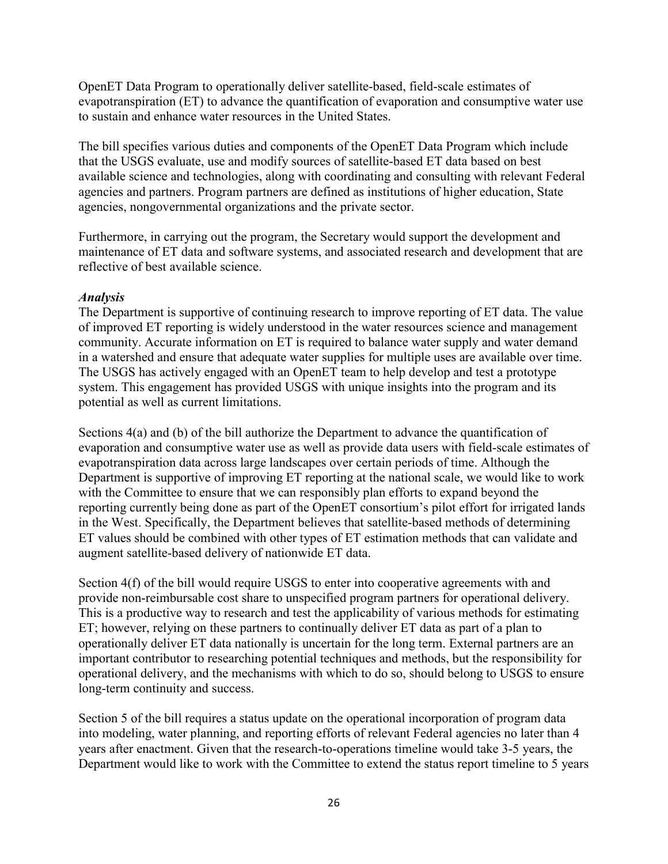OpenET Data Program to operationally deliver satellite-based, field-scale estimates of evapotranspiration (ET) to advance the quantification of evaporation and consumptive water use to sustain and enhance water resources in the United States.

The bill specifies various duties and components of the OpenET Data Program which include that the USGS evaluate, use and modify sources of satellite-based ET data based on best available science and technologies, along with coordinating and consulting with relevant Federal agencies and partners. Program partners are defined as institutions of higher education, State agencies, nongovernmental organizations and the private sector.

Furthermore, in carrying out the program, the Secretary would support the development and maintenance of ET data and software systems, and associated research and development that are reflective of best available science.

#### *Analysis*

The Department is supportive of continuing research to improve reporting of ET data. The value of improved ET reporting is widely understood in the water resources science and management community. Accurate information on ET is required to balance water supply and water demand in a watershed and ensure that adequate water supplies for multiple uses are available over time. The USGS has actively engaged with an OpenET team to help develop and test a prototype system. This engagement has provided USGS with unique insights into the program and its potential as well as current limitations.

Sections 4(a) and (b) of the bill authorize the Department to advance the quantification of evaporation and consumptive water use as well as provide data users with field-scale estimates of evapotranspiration data across large landscapes over certain periods of time. Although the Department is supportive of improving ET reporting at the national scale, we would like to work with the Committee to ensure that we can responsibly plan efforts to expand beyond the reporting currently being done as part of the OpenET consortium's pilot effort for irrigated lands in the West. Specifically, the Department believes that satellite-based methods of determining ET values should be combined with other types of ET estimation methods that can validate and augment satellite-based delivery of nationwide ET data.

Section 4(f) of the bill would require USGS to enter into cooperative agreements with and provide non-reimbursable cost share to unspecified program partners for operational delivery. This is a productive way to research and test the applicability of various methods for estimating ET; however, relying on these partners to continually deliver ET data as part of a plan to operationally deliver ET data nationally is uncertain for the long term. External partners are an important contributor to researching potential techniques and methods, but the responsibility for operational delivery, and the mechanisms with which to do so, should belong to USGS to ensure long-term continuity and success.

Section 5 of the bill requires a status update on the operational incorporation of program data into modeling, water planning, and reporting efforts of relevant Federal agencies no later than 4 years after enactment. Given that the research-to-operations timeline would take 3-5 years, the Department would like to work with the Committee to extend the status report timeline to 5 years